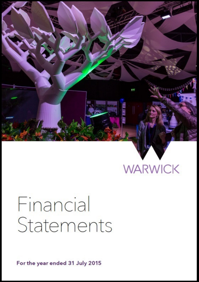

# **WARWICK**

# Financial Statements

For the year ended 31 July 2015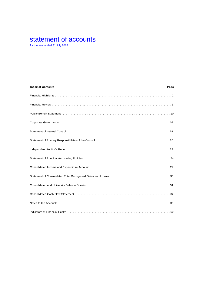# statement of accounts

for the year ended 31 July 2015

| <b>Index of Contents</b>                                                                                                                                                                                                       | Page |
|--------------------------------------------------------------------------------------------------------------------------------------------------------------------------------------------------------------------------------|------|
|                                                                                                                                                                                                                                |      |
|                                                                                                                                                                                                                                |      |
|                                                                                                                                                                                                                                |      |
|                                                                                                                                                                                                                                |      |
|                                                                                                                                                                                                                                |      |
|                                                                                                                                                                                                                                |      |
|                                                                                                                                                                                                                                |      |
|                                                                                                                                                                                                                                |      |
|                                                                                                                                                                                                                                |      |
|                                                                                                                                                                                                                                |      |
| Consolidated and University Balance Sheets (and accommodation of the consolidated and University Balance Sheets (and accommodation of the constant of the constant of the constant of the consolidation of the consolidation o |      |
| Consolidated Cash Flow Statement (and contained according to the consolidated Cash Flow Statement (and contained according to the consolidated Cash Flow Statement (and contained according to the consolidated according to t |      |
|                                                                                                                                                                                                                                |      |
| Indicators of Financial Health (all contacts) and the contact of the state of the state of the state of the state of $62$                                                                                                      |      |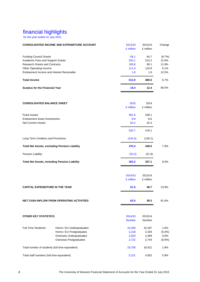# financial highlights

for the year ended 31 July 2015

|                                                 | <b>CONSOLIDATED INCOME AND EXPENDITURE ACCOUNT</b>   | 2014/15<br>£ million | 2013/14<br>£ million | Change    |
|-------------------------------------------------|------------------------------------------------------|----------------------|----------------------|-----------|
| <b>Funding Council Grants</b>                   |                                                      | 59.1                 | 64.7                 | (8.7%)    |
| Academic Fees and Support Grants                |                                                      | 240.1                | 213.2                | 12.6%     |
| <b>Research Grants and Contracts</b>            |                                                      | 100.8                | 90.1                 | 11.9%     |
| Other Operating Income                          |                                                      | 111.0                | 110.9                | 0.1%      |
| Endowment Income and Interest Receivable        |                                                      | 1.8                  | 1.6                  | 12.5%     |
| <b>Total Income</b>                             |                                                      | 512.8                | 480.5                | 6.7%      |
| <b>Surplus for the Financial Year</b>           |                                                      | 19.4                 | 12.4                 | 56.5%     |
| <b>CONSOLIDATED BALANCE SHEET</b>               |                                                      | 2015                 | 2014                 |           |
|                                                 |                                                      | £ million            | £ million            |           |
| <b>Fixed Assets</b>                             |                                                      | 461.6                | 428.1                |           |
| <b>Endowment Asset Investments</b>              |                                                      | 8.9                  | 8.6                  |           |
| <b>Net Current Assets</b>                       |                                                      | 50.2                 | 42.4                 |           |
|                                                 |                                                      | 520.7                | 479.1                |           |
| Long Term Creditors and Provisions              |                                                      | (144.3)              | (130.1)              |           |
|                                                 | <b>Total Net Assets, excluding Pension Liability</b> | 376.4                | 349.0                | 7.9%      |
| Pension Liability                               |                                                      | (23.2)               | (21.9)               |           |
|                                                 | <b>Total Net Assets, including Pension Liability</b> | 353.2                | 327.1                | 8.0%      |
|                                                 |                                                      | 2014/15              | 2013/14              |           |
|                                                 |                                                      | £ million            | £ million            |           |
| <b>CAPITAL EXPENDITURE IN THE YEAR</b>          |                                                      | 61.6                 | 49.7                 | 23.9%     |
|                                                 |                                                      |                      |                      |           |
|                                                 | <b>NET CASH INFLOW FROM OPERATING ACTIVITIES</b>     | 63.5                 | 39.3                 | 61.6%     |
|                                                 |                                                      |                      |                      |           |
| <b>OTHER KEY STATISTICS</b>                     |                                                      | 2014/15              | 2013/14              |           |
|                                                 |                                                      | <b>Number</b>        | Number               |           |
| Full Time Students:-                            | Home / EU Undergraduates                             | 10,349               | 10,187               | 1.6%      |
|                                                 | Home / EU Postgraduates                              | 2,218                | 2,334                | $(5.0\%)$ |
|                                                 | Overseas Undergraduates                              | 2,503                | 2,489                | 0.6%      |
|                                                 | <b>Overseas Postgraduates</b>                        | 2,722                | 2,744                | (0.8%)    |
| Total number of students (full time equivalent) |                                                      | 18,759               | 18,421               | 1.8%      |
| Total staff numbers (full time equivalent)      |                                                      | 5,221                | 4,932                | 5.9%      |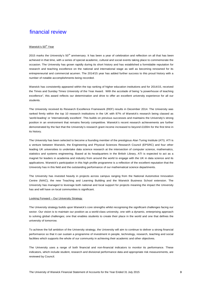#### Warwick's 50<sup>th</sup> Year

2015 marks the University's  $50<sup>th</sup>$  anniversary. It has been a year of celebration and reflection on all that has been achieved in that time, with a series of special academic, cultural and social events taking place to commemorate the occasion. The University has grown rapidly during its short history and has established a formidable reputation for research and teaching excellence on the national and international stage as well as becoming renowned for its entrepreneurial and commercial acumen. The 2014/15 year has added further success to this proud history with a number of notable accomplishments being recorded.

Warwick has consistently appeared within the top ranking of higher education institutions and for 2014/15, received the Times and Sunday Times University of the Year Award. With the accolade of being "a powerhouse of teaching excellence", this award reflects our determination and drive to offer an excellent university experience for all our students.

The University received its Research Excellence Framework (REF) results in December 2014. The University was ranked firmly within the top 10 research institutions in the UK with 87% of Warwick's research being classed as 'world-leading' or 'internationally excellent'. This builds on previous successes and maintains the University's strong position in an environment that remains fiercely competitive. Warwick's recent research achievements are further demonstrated by the fact that the University's research grant income increased to beyond £100m for the first time in its history.

The University has been selected to become a founding member of the prestigious Alan Turing Institute (ATI). ATI is a venture between Warwick, the Engineering and Physical Sciences Research Council (EPSRC) and four other leading UK universities to undertake data science research at the intersection of computer science, mathematics, statistics and systems engineering. Based at its headquarters in the British Library, ATI is expected to act as a magnet for leaders in academia and industry from around the world to engage with the UK in data science and its applications. Warwick's participation in this high profile programme is a reflection of the excellent reputation that the University has in this field and the outstanding performance of our mathematical science departments.

The University has invested heavily in projects across campus ranging from the National Automotive Innovation Centre (NAIC), the new Teaching and Learning Building and the Warwick Business School extension. The University has managed to leverage both national and local support for projects meaning the impact the University has and will have on local communities is significant.

### Looking Forward – Our University Strategy

The University strategy builds upon Warwick's core strengths whilst recognising the significant challenges facing our sector. Our vision is to maintain our position as a world-class university, one with a dynamic, enterprising approach to solving global challenges; one that enables students to create their place in the world and one that defines the university of tomorrow.

To achieve the full ambition of the University strategy, the University will aim to continue to deliver a strong financial performance so that it can sustain a programme of investment in people, technology, research, teaching and social facilities which supports the whole of our community in achieving their academic and other objectives.

The University uses a range of both financial and non-financial indicators to monitor its performance. These indicators, which include student, research and divisional performance data and appropriate risk measurements, are reviewed by Council.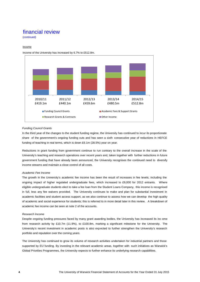(continued)

### Income



Income of the University has increased by 6.7% to £512.8m.

#### *Funding Council Grants*

In the third year of the changes to the student funding regime, the University has continued to incur its proportionate share of the government's ongoing funding cuts and has seen a sixth consecutive year of reductions in HEFCE funding of teaching in real terms, which is down £6.1m (28.5%) year on year.

Reductions in grant funding from government continue to run contrary to the overall increase in the scale of the University's teaching and research operations over recent years and, taken together with further reductions in future government funding that have already been announced, the University recognises the continued need to diversify income streams and maintain a close control of all costs.

#### *Academic Fee Income*

The growth in the University's academic fee income has been the result of increases in fee levels, including the ongoing impact of higher regulated undergraduate fees, which increased to £9,000 for 2012 entrants. Where eligible undergraduate students elect to take a fee loan from the Student Loans Company, this income is recognised in full, less any fee waivers provided. The University continues to make and plan for substantial investment in academic facilities and student access support, as we also continue to assess how we can develop the high quality of academic and social experience for students; this is referred to in more detail later in this review. A breakdown of academic fee income can be seen at note 2 of the accounts.

### *Research Income*

Despite ongoing funding pressures faced by many grant awarding bodies, the University has increased its inc ome from research activity by £10.7m (11.9%), to £100.8m, marking a significant milestone for the University. The University's recent investment in academic posts is also exp ected to further strengthen the University's research portfolio and reputation over the coming years.

The University has continued to grow its volume of research activities undertaken for industrial partners and those supported by EU funding. By investing in the relevant academic areas, together with such initiatives as Warwick's Global Priorities Programmes, the University expects to further enhance its underlying research capabilities.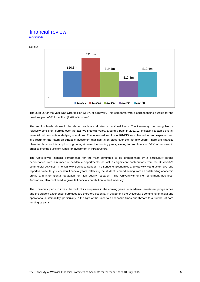(continued)



The surplus for the year was £19.4million (3.8% of turnover). This compares with a corresponding surplus for the previous year of £12.4 million (2.6% of turnover).

The surplus levels shown in the above graph are all after exceptional items. The University has recognised a relatively consistent surplus over the last five financial years, around a peak in 2011/12, indicating a stable overall financial outturn on its underlying operations. The increased surplus in 2014/15 was planned for and expected and is a result on the return on strategic investment that has taken place over the last few years. There are financial plans in place for this surplus to grow again over the coming years, aiming for surpluses of 5-7% of turnover in order to provide sufficient funds for investment in infrastructure.

The University's financial performance for the year continued to be underpinned by a particularly strong performance from a number of academic departments, as well as significant contributions from the University's commercial activities. The Warwick Business School, The School of Economics and Warwick Manufacturing Group reported particularly successful financial years, reflecting the student demand arising from an outstanding academic profile and international reputation for high quality research. The University's online recruitment business, Jobs.ac.uk, also continued to grow its financial contribution to the University.

The University plans to invest the bulk of its surpluses in the coming years in academic investment programmes and the student experience; surpluses are therefore essential in supporting the University's continuing financial and operational sustainability, particularly in the light of the uncertain economic times and threats to a number of core funding streams.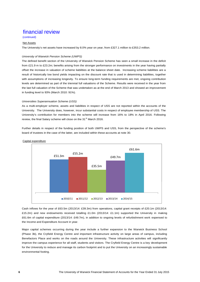(continued)

### Net Assets

The University's net assets have increased by 8.0% year on year, from £327.1 million to £353.2 million.

### *University of Warwick Pension Scheme (UWPS)*

The defined benefit section of the University of Warwick Pension Scheme has seen a small increase in the deficit from £21.9 m to £23.2m; benefits arising from the stronger performance on investments in the year having partially offset the increase in valuation of scheme liabilities at the balance sheet date. Increasing scheme liabilities are a result of historically low bond yields impacting on the discount rate that is used in determining liabilities, together with assumptions of increasing longevity. To ensure long-term funding requirements are met, ongoing contribution levels are determined as part of the triennial full valuations of the Scheme. Results were received in the year from the last full valuation of the Scheme that was undertaken as at the end of March 2013 and showed an improvement in funding level to 93% (March 2010: 91%).

### *Universities Superannuation Scheme (USS)*

As a multi-employer scheme, assets and liabilities in respect of USS are not reported within the accounts of the University. The University does, however, incur substantial costs in respect of employee membership of USS. The University's contribution for members into the scheme will increase from 16% to 18% in April 2016. Following review, the final Salary scheme will close on the 31<sup>st</sup> March 2016.

Further details in respect of the funding position of both UWPS and USS, from the perspective of the scheme's board of trustees in the case of the latter, are included within these accounts at note 30.





Cash inflows for the year of £63.5m (2013/14: £39.3m) from operations, capital grant receipts of £20.1m (2013/14: £15.2m) and new endowments received totalling £1.0m (2013/14: £1.1m) supported the University in making £61.6m of capital expenditure (2013/14: £49.7m), in addition to ongoing levels of refurbishment work expensed to the Income and Expenditure Account in year.

Major capital schemes occurring during the year include a further expansion to the Warwick Business School (Phase 3b), the Cryfield Energy Centre and important infrastructure activity on large areas of campus, including Benefactors Place and works on the roads around the University. These infrastructure activities will significantly improve the campus experience for all staff, students and visitors. The Cryfield Energy Centre is a key development for the University to reduce and manage its carbon footprint and to put the University on an increasingly sustainable environmental footing.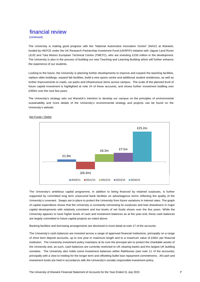(continued)

The University is making good progress with the "National Automotive Innovation Centre" (NAIC) at Warwick, funded by HEFCE under the UK Research Partnership Investment Fund (UKRPIF) initiative with Jaguar Land Rover (JLR) and Tata Motors European Technical Centre (TMETC), who are investing £150 million in the development. The University is also in the process of building our new Teaching and Learning Building which will further enhance the experience of our students.

Looking to the future, the University is planning further developments to improve and expand the teaching facilities, replace older buildings, expand lab facilities, build a new sports centre and additional student residences, as well as further improvements to roads, car parks and infrastructure items across campus. The scale of the planned level of future capital investment is highlighted at note 24 of these accounts, and shows further investment totalling over £350m over the next few years.

The University's strategy sets out Warwick's intention to develop our campus on the principles of environmental sustainability and more details of the University's environmental strategy and projects can be found on the University's website.



Net Funds / (Debt)

The University's ambitious capital programme, in addition to being financed by retained surpluses, is further supported by committed long term unsecured bank facilities on advantageous terms reflecting the quality of the University's covenant. Swaps are in place to protect the University from future variations in interest rates. The graph of capital expenditure shows that the University is constantly reinvesting its surpluses and loan drawdowns in major capital developments with relatively consistent and low levels of net funds shown over the five years. While the University appears to have higher levels of cash and investment balances as at the year-end, these cash balances are largely committed to future capital projects as noted above.

Banking facilities and borrowing arrangements are disclosed in more detail at note 17 of the accounts.

The University's cash balances are invested across a range of approved financial institutions, principally on a range of short term deposit accounts, up to one year in maximum length and to a maximum value of £40m per financial institution. The University investment policy maintains at its core the principal aim to protect the charitable assets of the University and, as such, cash balances are currently restricted to UK clearing banks and the largest UK building societies. The University also holds some investment balances within Rathbones (see note 11 of the accounts), principally with a view to holding for the longer term and offsetting bullet loan repayment commitments. All cash and investment funds are held in accordance with the University's socially responsible investment policy.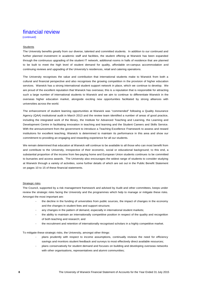(continued)

### **Students**

The University benefits greatly from our diverse, talented and committed students. In addition to our continued and further planned investment in academic staff and facilities, the student offering at Warwick has been expanded through the continuous upgrading of the student IT network, additional rooms in halls of residence that are planned to be built to meet the high level of student demand for quality, affordable on-campus accommodation and continuing reviews and upgrading of the University's residences, retail and catering operations.

The University recognises the value and contribution that international students make to Warwick from both a cultural and financial perspective and also recognises the growing competition in the provision of higher education services. Warwick has a strong international student support network in place, which we continue to develop. We are proud of the excellent reputation that Warwick has overseas; this is a reputation that is responsible for attracting such a large number of international students to Warwick and we aim to continue to differentiate Warwick in the overseas higher education market, alongside exciting new opportunities facilitated by strong alliances with universities across the world.

The enhancement of student learning opportunities at Warwick was "commended" following a Quality Assurance Agency (QAA) institutional audit in March 2013 and the review team identified a number of areas of good practice, including the integrated work of the library, the Institute for Advanced Teaching and Learning, the Learning and Development Centre in facilitating innovation in teaching and learning and the Student Careers and Skills Service. With the announcement from the government to introduce a Teaching Excellence Framework to assess and reward institutions for excellent teaching, Warwick is determined to maintain its performance in this area and show our commitment to providing an engaging and rewarding experience for all our students.

We remain determined that education at Warwick will continue to be available to all those who can most benefit from and contribute to the University, irrespective of their economic, social or educational background; to this end, a substantial proportion of the income from fee-paying home and European Union students continues to be committed to bursaries and access awards. The University also encourages the widest range of students to consider studying at Warwick through a variety of activities, some further details of which are set out in the Public Benefit Statement on pages 10 to 15 of these financial statements.

### Strategic risks

The Council, supported by a risk management framework and advised by Audit and other committees, keeps under review the strategic risks facing the University and the programmes which help to manage or mitigate these risks. Amongst the most important are:

- the decline in the funding of universities from public sources, the impact of changes in the economy and the changes in student fees and support structure;
- any changes in the pattern of demand, especially in international student markets;
- the ability to maintain an internationally competitive position in respect of the quality and recognition of both teaching and research; and
- the recruitment and retention of internationally recognised scholars in a highly competitive market.

To mitigate these strategic risks, the University, amongst other things:

- plans prudently with respect to income assumptions, continually reviews the need for efficiency savings and monitors student feedback and surveys to most effectively direct available resources;
- plans conservatively for student demand and focuses on building and developing overseas networks with other organisations, representatives and alumni communities;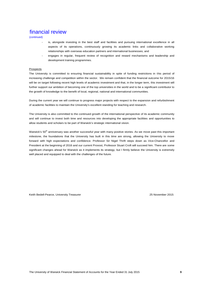(continued)

- is, alongside investing in the best staff and facilities and pursuing international excellence in all aspects of its operations, continuously growing its academic links and collaborative working relationships with overseas education partners and international businesses; and
- engages in regular, frequent review of recognition and reward mechanisms and leadership and development training programmes.

### Prospects

The University is committed to ensuring financial sustainability in spite of funding restrictions in this period of increasing challenge and competition within the sector. We remain confident that the financial outcome for 2015/16 will be on target following recent high levels of academic investment and that, in the longer term, this investment will further support our ambition of becoming one of the top universities in the world and to be a significant contributor to the growth of knowledge to the benefit of local, regional, national and international communities.

During the current year we will continue to progress major projects with respect to the expansion and refurbishment of academic facilities to maintain the University's excellent standing for teaching and research.

The University is also committed to the continued growth of the international perspective of its academic community and will continue to invest both time and resources into developing the appropriate facilities and opportunities to allow students and scholars to be part of Warwick's strategic international vision.

Warwick's 50<sup>th</sup> anniversary was another successful year with many positive stories. As we move past this important milestone, the foundations that the University has built in this time are strong, allowing the University to move forward with high expectations and confidence. Professor Sir Nigel Thrift steps down as Vice-Chancellor and President at the beginning of 2016 and our current Provost, Professor Stuart Croft will succeed him. There are some significant changes ahead for Warwick as it implements its strategy, but I firmly believe the University is extremely well placed and equipped to deal with the challenges of the future.

Keith Bedell-Pearce, University Treasurer 25 November 2015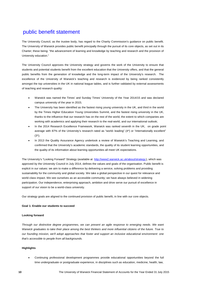The University Council, as the trustee body, has regard to the Charity Commission's guidance on public benefit. The University of Warwick provides public benefit principally through the pursuit of its core objects, as set out in its Charter; these being: "the advancement of learning and knowledge by teaching and research and the provision of University education."

The University Council approves the University strategy and governs the work of the University to ensure that students and potential students benefit from the excellent education that the University offers, and that the general public benefits from the generation of knowledge and the long-term impact of the University's research. The excellence of the University of Warwick's teaching and research is evidenced by being ranked consistently amongst the top universities in the UK in national league tables, and is further validated by external assessments of teaching and research quality:

- Warwick was named the Times' and Sunday Times' University of the Year 2014/15 and was declared campus university of the year in 2015;
- The University has been identified as the fastest rising young university in the UK, and third in the world by the Times Higher Education Young Universities Summit, and the fastest rising university in the UK, thanks to the influence that our research has on the rest of the world, the extent to which companies are working with academics and applying their research to the real-world, and our international outlook;
- In the 2014 Research Excellence Framework, Warwick was ranked seventh in the UK, on grade point average with 87% of the University's research rated as "world- leading" (4\*) or "internationally excellent"  $(3^*)$ ;
- In 2013 the Quality Assurance Agency undertook a review of Warwick's Teaching and Learning, and confirmed that the University's academic standards, the quality of its student learning opportunities, and the quality of its information about learning opportunities all meet UK expectations.

The University's "Looking Forward" Strategy (available at http://www2.warwick.ac.uk/about/strategy), which was approved by the University Council in July 2014, defines the values and goals of the organisation. Public benefit is explicit in our values: we aim to make a difference by delivering a service, solving problems and providing sustainability for the community and global society. We take a global perspective in our quest for relevance and world-class impact. We see ourselves as an accessible community; we have always believed in widening participation. Our independence, enterprising approach, ambition and drive serve our pursuit of excellence in support of our vision to be a world-class university.

Our strategy goals are aligned to the continued provision of public benefit, in line with our core objects.

### **Goal 1: Enable our students to succeed**

### **Looking forward**

*Through our distinctive degree programmes, we can present an agile response to emerging needs. We want Warwick graduates to take their place among the best thinkers and more influential citizens of the future. True to our founding mission, we'll adopt approaches that foster and support an inclusive educational environment: one that's accessible to people from all backgrounds.*

### **Highlights**

 Continuing professional development programmes provide educational opportunities beyond the full time undergraduate or postgraduate experience, in disciplines such as education, medicine, health, law,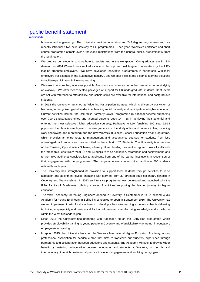(continued)

business and engineering. The University provides foundation and 2+2 degree programmes and has recently introduced two new Gateway to HE programmes. Each year, Warwick's certificate and short course programme attracts over a thousand registrations from the general public, predominantly from the local region.

- We prepare our students to contribute to society and in the workplace. Our graduates are in high demand: in 2014 Warwick was ranked as one of the top ten most targeted universities by the UK's leading graduate employers. We have developed innovative programmes in partnership with local employers (for example in the automotive industry), and we offer flexible and distance learning solutions to facilitate participation in life-long learning.
- We seek to ensure that, wherever possible, financial circumstances do not become a barrier to studying at Warwick. We offer means-tested packages of support for UK undergraduate students. Rent levels are set with reference to affordability, and scholarships are available for international and postgraduate students.
- In 2013 the University launched its Widening Participation Strategy, which is driven by our vision of becoming a recognised global leader in enhancing social diversity and participation in higher education. Current activities include: the UniTracks (formerly GOAL) programme (a national scheme supporting over 700 disadvantaged gifted and talented students aged 14 – 18 in achieving their potential and entering the most selective higher education courses), Pathways to Law (enabling 100 Year 12-13 pupils and their families each year to receive guidance on the study of law and careers in law, including work shadowing and mentoring) and the new Warwick Business School Foundation Year programme, which provides an entry route to management and accountancy courses for students from less advantaged backgrounds and has recruited its first cohort of 25 Students. The University is a member of the Realising Opportunities Scheme, whereby fifteen leading universities agree to work locally with the 'most able, least likely' Year 12 and 13 pupils to raise aspiration, awareness and achievement, and to then give additional consideration to applicants from any of the partner institutions in recognition of their engagement with the programme. The programme seeks to recruit an additional 800 students nationally each year.
- The University has strengthened its provision to support local students through activities to raise aspiration and attainment levels, engaging with learners from 30 targeted state secondary schools in Coventry and Warwickshire. In 2013 an intensive programme was developed and launched with the RSA Family of Academies, offering a suite of activities supporting the learner journey to higher education.
- The WMG Academy for Young Engineers opened in Coventry in September 2014. A second WMG Academy for Young Engineers in Solihull is scheduled to open in September 2016. The University has worked in partnership with local employers to develop a bespoke learning experience that is delivering technical, employability and business skills that will maintain manufacturing knowledge and excellence within the West Midlands region.
- Since 2013 the University has partnered with National Grid on the GetSkilled programme which provides employability training to young people in Coventry and Warwickshire who are not in education, employment or training.
- In spring 2015, the University launched the Warwick International Higher Education Academy, a new professional association for academic staff that aims to transform our students' experience through partnership and collaboration between educators and students. The Academy will seek to provide wider benefit by fostering collaboration between educators and students at Warwick, in the UK and internationally, to enrich professional practice in student engagement and evolving pedagogies.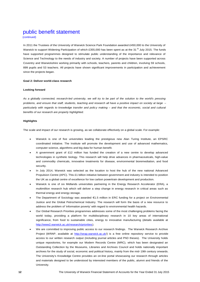(continued)

In 2011 the Trustees of the University of Warwick Science Park Foundation awarded £450,000 to the University of Warwick to support Widening Participation of which £355,000 has been spent as at the 31<sup>St</sup> July 2015. The funds have supported programmes designed to stimulate public understanding of the importance and relevance of Science and Technology to the needs of industry and society. A number of projects have been supported across Coventry and Warwickshire working primarily with schools, teachers, parents and children, involving 59 schools, 899 pupils and 53 teachers. All projects have shown significant improvements in participation and achievement since the projects began.

#### **Goal 2: Deliver world-class research**

### **Looking forward**

*As a globally connected, research-led university, we will try to be part of the solution to the world's pressing problems, and ensure that staff, students, teaching and research all have a positive impact on society at large – particularly with regards to knowledge transfer and policy making – and that the economic, social and cultural benefits of our research are properly highlighted.*

#### **Highlights**

The scale and impact of our research is growing, as we collaborate effectively on a global scale. For example:

- Warwick is one of five universities leading the prestigious new Alan Turing Institute, an EPSRC coordinated initiative. The Institute will promote the development and use of advanced mathematics, computer science, algorithms and big data for human benefit.
- A government grant of £12 million has funded the creation of a new centre to develop advanced technologies in synthetic biology. This research will help drive advances in pharmaceuticals, high-value and commodity chemicals, innovative treatments for disease, environmental bioremediation, and food security.
- In July 2014, Warwick was selected as the location to host the hub of the new national Advanced Propulsion Centre (APC). This £1 billion initiative between government and industry is intended to position the UK as a global centre of excellence for low carbon powertrain development and production.
- Warwick is one of six Midlands universities partnering in the Energy Research Accelerator (ERA), a multimillion research hub which will deliver a step change in energy research in critical areas such as thermal energy and energy storage.
- The Department of Sociology was awarded €1.5 million in ERC funding for a project on Environmental Justice and the Global Petrochemical Industry. The research will form the basis of a new resource to address the problem of 'information poverty' with regard to environmental health hazards.
- Our Global Research Priorities programmes addresses some of the most challenging problems facing the world today, providing a platform for multidisciplinary research in 10 key areas of international significance, from food to sustainable cities, energy to innovative manufacturing (details available at http://www2.warwick.ac.uk/research/priorities).
- We are committed to improving public access to our research findings. The Warwick Research Archive Project (WRAP, available at http://wrap.warwick.ac.uk/) is a free online repository service to provide access to our written research output (including journal articles and PhD theses). The University holds unique repositories, for example our Modern Records Centre (MRC), which has been designated an Outstanding Collection by the Museums, Libraries and Archives Council and holds nationally important archives for the study of social, economic and political history, mainly from the mid- 19th century onwards. The University's Knowledge Centre provides an on-line portal showcasing our research through articles and materials designed to be understood by interested members of the public, alumni and friends of the University.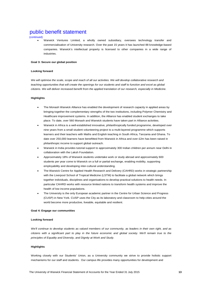(continued)

 Warwick Ventures Limited, a wholly owned subsidiary, oversees technology transfer and commercialisation of University research. Over the past 15 years it has launched 88 knowledge-based companies. Warwick's intellectual property is licensed to other companies in a wide range of industries.

#### **Goal 3: Secure our global position**

#### **Looking forward**

*We will optimise the scale, scope and reach of all our activities. We will develop collaborative research and teaching opportunities that will create the openings for our students and staff to function and excel as global citizens. We will deliver increased benefit from the applied translation of our research, especially in Medicine.*

### **Highlights**

- The Monash Warwick Alliance has enabled the development of research capacity in applied areas by bringing together the complementary strengths of the two institutions, including Polymer Chemistry and Healthcare improvement systems. In addition, the Alliance has enabled student exchanges to take place. To date, over 560 Monash and Warwick students have taken part in Alliance activities.
- Warwick in Africa is a well-established innovative, philanthropically funded programme, developed over nine years from a small student volunteering project to a multi-layered programme which supports learners and their teachers with Maths and English teaching in South Africa, Tanzania and Ghana. To date over 250,000 learners have benefitted from Warwick in Africa and over £2m has been raised in philanthropic income to support global outreach.
- Warwick in India provides tutorial support to approximately 300 Indian children per annum near Delhi in collaboration with the Laksh Foundation.
- Approximately 18% of Warwick students undertake work or study abroad and approximately 600 students per year come to Warwick on a full or partial exchange, enabling mobility, supporting employability and developing inter-cultural understanding.
- The Warwick Centre for Applied Health Research and Delivery (CAHRD) works in strategic partnership with the Liverpool School of Tropical Medicine (LSTM) to facilitate a global network which brings together individuals, disciplines and organisations to develop practical solutions to health needs. In particular CAHRD works with resource limited nations to transform health systems and improve the health of low income populations.
- The University is the only European academic partner in the Centre for Urban Science and Progress (CUSP) in New York. CUSP uses the City as its laboratory and classroom to help cities around the world become more productive, liveable, equitable and resilient.

#### **Goal 4: Engage our communities**

#### **Looking forward**

*We'll continue to develop students as valued members of our community, as leaders in their own right, and as citizens with a significant part to play in the future economic and global society. We'll remain true to the principles of Equality and Diversity, and Dignity at Work and Study.*

#### **Highlights**

Working closely with our Students' Union, as a University community we strive to provide holistic support mechanisms for our staff and students. Our campus life provides many opportunities for development and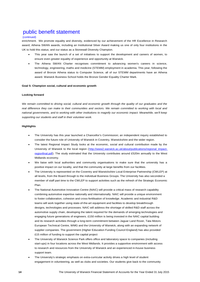### (continued)

enrichment. We promote equality and diversity, evidenced by our achievement of the HR Excellence in Research award; Athena SWAN awards, including an Institutional Silver Award making us one of only four institutions in the UK to hold this status; and our status as a Stonewall Diversity Champion.

- This year saw the launch of a set of initiatives to support the development and careers of women, to ensure even greater equality of experience and opportunity at Warwick.
- The Athena SWAN Charter recognises commitment to advancing women's careers in science, technology, engineering, maths and medicine (STEMM) employment in academia. This year, following the award of Bronze Athena status to Computer Science, all of our STEMM departments have an Athena award. Warwick Business School holds the Bronze Gender Equality Charter Mark.

### **Goal 5: Champion social, cultural and economic growth**

#### **Looking forward**

*We remain committed to driving social, cultural and economic growth through the quality of our graduates and the real difference they can make to their communities and sectors. We remain committed to working with local and national governments, and to working with other institutions to magnify our economic impact. Meanwhile, we'll keep supporting our students and staff in their volunteer work.*

### **Highlights**

- The University has this year launched a Chancellor's Commission; an independent inquiry established to consider the future role of University of Warwick in Coventry, Warwickshire and the wider region.
- The latest Regional Impact Study looks at the economic, social and cultural contribution made by the University of Warwick to the local region (http://www2.warwick.ac.uk/about/publications/regional\_impactregionfinal.pdf). The study estimated that the University contributes around £520m annually to the West Midlands economy.
- We liaise with local authorities and community organisations to make sure that the university has a positive impact on our locality, and that the community at large benefits from our facilities.
- The University is represented on the Coventry and Warwickshire Local Enterprise Partnership (CWLEP) at all levels, from the Board through to the individual Business Groups. The University has also seconded a member of staff part time to the CWLEP to support activities such as the refresh of the Strategic Economic Plan.
- The National Automotive Innovation Centre (NAIC) will provide a critical mass of research capability combining automotive expertise nationally and internationally. NAIC will provide a unique environment to foster collaboration, cohesion and cross-fertilisation of knowledge. Academic and industrial R&D teams will work together using state-of-the-art equipment and facilities to develop breakthrough designs, technologies and processes. NAIC will address the shortage of skilled R&D staff across the automotive supply chain, developing the talent required for the demands of emerging technologies and engaging future generations of engineers. £150 million is being invested in the NAIC capital building and its research activities through a long-term commitment between Jaguar Land Rover, Tata Motors European Technical Centre, WMG and the University of Warwick, along with an expanding network of supplier companies. The government (Higher Education Funding Council England) has also provided £15 million of funding to support the capital project
- The University of Warwick Science Park offers office and laboratory space to companies (including start-ups) in four locations across the West Midlands. It provides a supportive environment with access to research and resources from the University of Warwick and an experienced in-house business support team.
- The University's strategic emphasis on extra-curricular activity drives a high level of student engagement in volunteering, as well as clubs and societies. Our students give back to the community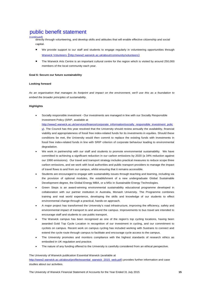(continued) directly through volunteering, and develop skills and attitudes that will enable effective citizenship and social capital.

- We provide support to our staff and students to engage regularly in volunteering opportunities through Warwick Volunteers (http://www2.warwick.ac.uk/about/community/volunteers)
- The Warwick Arts Centre is an important cultural centre for the region which is visited by around 250,000 members of the local community each year.

### **Goal 6: Secure our future sustainability**

### **Looking forward**

*As an organisation that manages its footprint and impact on the environment, we'll use this as a foundation to embed the broader principles of sustainability.*

### **Highlights**

- Socially responsible investment Our investments are managed in line with our Socially Responsible Investment Policy (SRIP, available at http://www2.warwick.ac.uk/services/finance/corporate\_information/socially\_responsible\_investment\_polic  $y$ ). The Council has this year resolved that the University should review annually the availability, financial viability and appropriateness of fossil free index-related funds for its investments in equities. Should these conditions be met, the University would then commit to replace the existing funds with investments in fossil free index-related funds in line with SRIP criterion of corporate behaviour leading to environmental degradation.
- We work in partnership with our staff and students to promote environmental sustainability. We have committed to achieving a significant reduction in our carbon emissions by 2020 (a 34% reduction against our 1990 emissions). Our travel and transport strategy includes practical measures to reduce scope three carbon emissions, and we work with local authorities and public transport providers to manage the impact of travel flows to and from our campus, whilst ensuring that it remains accessible.
- Students are encouraged to engage with sustainability issues through teaching and learning, including via the provision of optional modules, the establishment of a new undergraduate Global Sustainable Development degree, the Global Energy MBA, or a MSc in Sustainable Energy Technologies.
- Green Steps is an award-winning environmental sustainability educational programme developed in collaboration with our partner institution in Australia, Monash University. The Programme combines training and real world experience, developing the skills and knowledge of our students to effect environmental change through a practical, hands-on approach.
- A major project has transformed the University's road infrastructure, improving the efficiency, safety and environmental impact of transport to and around the campus. Improvements to bus travel are intended to encourage staff and students to use public transport.
- The Warwick campus has been recognised as one of the region's top cycling locations, having been awarded Gold Top Cycle Location in recognition of our investment in cycling, and our commitment to cyclists on campus. Recent work on campus cycling has included working with Sustrans to connect and extend the cycle route through campus to facilitate and encourage cycle access to the campus.
- The University promotes and monitors compliance with the highest standards of research ethics as embodied in UK regulation and practice.
- The nature of any funding offered to the University is carefully considered from an ethical perspective.

### The University of Warwick publication Essential Warwick (available at

http://www2.warwick.ac.uk/about/profile/essential\_warwick\_2015\_web.pdf) provides further information and case studies about our activities.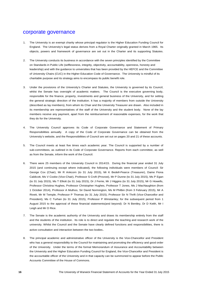### corporate governance

- 1. The University is an exempt charity whose principal regulator is the Higher Education Funding Council for England. The University's legal status derives from a Royal Charter originally granted in March 1965. Its objects, powers and framework of governance are set out in the Charter and its supporting Statutes.
- 2. The University conducts its business in accordance with the seven principles identified by the Committee on Standards in Public Life (selflessness, integrity, objectivity, accountability, openness, honesty and leadership) and with the guidance to universities that has been provided by the HEFCE and the Committee of University Chairs (CUC) in the Higher Education Code of Governance. The University is mindful of its charitable purpose and its strategy aims to encompass its public benefit role.
- 3. Under the provisions of the University's Charter and Statutes, the University is governed by its Council, whilst the Senate has oversight of academic matters. The Council is the executive governing body, responsible for the finance, property, investments and general business of the University, and for setting the general strategic direction of the institution. It has a majority of members from outside the University (described as lay members), from whom its Chair and the University Treasurer are drawn. Also included in its membership are representatives of the staff of the University and the student body. None of the lay members receive any payment, apart from the reimbursement of reasonable expenses, for the work that they do for the University.
- 4. The University Council approves its Code of Corporate Governance and Statement of Primary Responsibilities annually. A copy of the Code of Corporate Governance can be obtained from the University's website, and the Responsibilities of Council are set out on pages 20 and 21 of these accounts.
- 5. The Council meets at least five times each academic year. The Council is supported by a number of sub-committees, as outlined in its Code of Corporate Governance. Reports from each committee, as well as from the Senate, inform the work of the Council.
- 6. There were 25 members of the University Council in 2014/15. During the financial year ended 31 July 2015 (and continuing except where indicated), the following individuals were members of Council: Sir George Cox (Chair), Mr R Ankcorn (to 31 July 2015), Mr K Bedell-Pearce (Treasurer), Dame Fiona Caldicott, Ms V Cooke (Vice-Chair), Professor S Croft (Provost), Mr P Dunne (to 31 July 2015), Ms P Egan (to 31 July 2015), Ms T Elliott (to 31 July 2015), Dr J Ferrie, Mr J Higgins (to 31 July 2015), Mr G Howells, Professor Christina Hughes, Professor Christopher Hughes, Professor T Jones, Ms J MacNaughton (from 1 October 2014), Professor A Muthoo, Sir David Normington, Ms M Philbin (from 3 February 2015), Mr A Rivett, Mr M Temple, Professor P Thomas (to 31 July 2015), Professor Sir N Thrift (Vice-Chancellor and President), Ms C Turhan (to 31 July 2015), Professor P Winstanley; for the subsequent period from 1 August 2015 to the approval of these financial statements(and beyond): Dr N Bentley, Dr D Keith, Mr I Leigh and Mr O Rice.
- 7. The Senate is the academic authority of the University and draws its membership entirely from the staff and the students of the institution. Its role is to direct and regulate the teaching and research work of the university. Whilst the Council and the Senate have clearly defined functions and responsibilities, there is active consultation and interaction between the two bodies.
- 8. The principal academic and administrative officer of the University is the Vice-Chancellor and President who has a general responsibility to the Council for maintaining and promoting the efficiency and good order of the University. Under the terms of the formal Memorandum of Assurance and Accountability between the University and the Higher Education Funding Council for England, the Vice-Chancellor and President is the accountable officer of the University and in that capacity can be summoned to appear before the Public Accounts Committee of the House of Commons.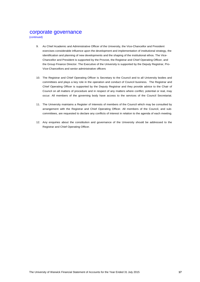### corporate governance

(continued)

- 9. As Chief Academic and Administrative Officer of the University, the Vice-Chancellor and President exercises considerable influence upon the development and implementation of institutional strategy, the identification and planning of new developments and the shaping of the institutional ethos. The Vice-Chancellor and President is supported by the Provost, the Registrar and Chief Operating Officer, and the Group Finance Director. The Executive of the University is supported by the Deputy Registrar, Pro-Vice-Chancellors and senior administrative officers
- 10. The Registrar and Chief Operating Officer is Secretary to the Council and to all University bodies and committees and plays a key role in the operation and conduct of Council business. The Registrar and Chief Operating Officer is supported by the Deputy Registrar and they provide advice to the Chair of Council on all matters of procedure and in respect of any matters where conflict, potential or real, may occur. All members of the governing body have access to the services of the Council Secretariat.
- 11. The University maintains a Register of Interests of members of the Council which may be consulted by arrangement with the Registrar and Chief Operating Officer. All members of the Council, and subcommittees, are requested to declare any conflicts of interest in relation to the agenda of each meeting.
- 12. Any enquiries about the constitution and governance of the University should be addressed to the Registrar and Chief Operating Officer.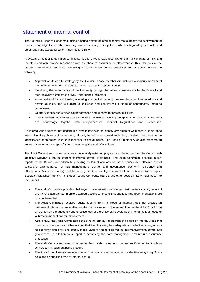### statement of internal control

The Council is responsible for maintaining a sound system of internal control that supports the achievement of the aims and objectives of the University, and the efficacy of its policies, whilst safeguarding the public and other funds and assets for which it has responsibility.

A system of control is designed to mitigate risk to a reasonable level rather than to eliminate all risk, and therefore can only provide reasonable and not absolute assurance of effectiveness. Key elements of the system of internal control, which are designed to discharge the responsibilities set out above, include the following:

- Approval of University strategy by the Council, whose membership includes a majority of external members, together with academic and non-academic representation.
- Monitoring the performance of the University through the annual consideration by the Council and other relevant committees of Key Performance Indicators.
- An annual and forward looking operating and capital planning process that combines top-down and bottom-up input, and is subject to challenge and scrutiny via a range of appropriately informed committees.
- Quarterly monitoring of financial performance and updates to forecast out-turns.
- Clearly defined requirements for control of expenditure, including the appointment of staff, investment and borrowings, together with comprehensive Financial Regulations and Procedures.

An Internal Audit function that undertakes investigative work to identify any areas of weakness in compliance with University policies and procedures, primarily based on an agreed audit plan, but also in response to the identification of emerging risks or in response to actual issues. The Head of Internal Audit also prepares an annual value for money report for consideration by the Audit Committee.

The Audit Committee, whose membership is entirely external, plays a key role in providing the Council with objective assurance that its system of internal control is effective. The Audit Committee provides termly reports to the Council, in addition to providing its formal opinions on the adequacy and effectiveness of Warwick's arrangements for risk management, control and governance, economy, efficiency and effectiveness (value for money), and the management and quality assurance of data submitted to the Higher Education Statistics Agency, the Student Loans Company, HEFCE and other bodies in its Annual Report to the Council.

- The Audit Committee provides challenge on operational, financial and risk matters coming before it and, where appropriate, monitors agreed actions to ensure that changes and recommendations are duly implemented.
- The Audit Committee receives regular reports from the Head of Internal Audit that provide an overview of internal control matters (in the main as set out in the agreed Internal Audit Plan), including an opinion on the adequacy and effectiveness of the University's systems of internal control, together with recommendations for improvements.
- Additionally, the Audit Committee considers an annual report from the Head of Internal Audit that provides and evidences his/her opinion that the University has adequate and effective arrangements for economy, efficiency and effectiveness (value for money) as well as risk management, control and governance, in addition to a report summarising the data management and returns assurance processes.
- The Audit Committee meets on an annual basis with Internal Audit as well as External Audit without University management being present.
- The Audit Committee also receives periodic reports on the management of the University's significant risks and on specific areas of internal control.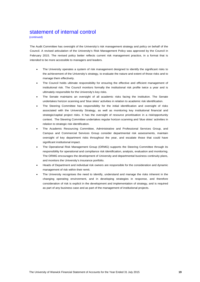### statement of internal control

(continued)

The Audit Committee has oversight of the University's risk management strategy and policy on behalf of the Council. A revised articulation of the University's Risk Management Policy was approved by the Council in February 2015. The revised policy better reflects current risk management practice, in a format that is intended to be more accessible to managers and leaders.

- The University operates a system of risk management designed to identify the significant risks to the achievement of the University's strategy, to evaluate the nature and extent of those risks and to manage them effectively.
- The Council holds ultimate responsibility for ensuring the effective and efficient management of institutional risk. The Council monitors formally the institutional risk profile twice a year and is ultimately responsible for the University's key risks.
- The Senate maintains an oversight of all academic risks facing the institution. The Senate undertakes horizon scanning and 'blue skies' activities in relation to academic risk identification.
- The Steering Committee has responsibility for the initial identification and oversight of risks associated with the University Strategy, as well as monitoring key institutional financial and strategic/capital project risks. It has the oversight of resource prioritisation in a risk/opportunity context. The Steering Committee undertakes regular horizon scanning and 'blue skies' activities in relation to strategic risk identification.
- The Academic Resourcing Committee, Administrative and Professional Services Group, and Campus and Commercial Services Group consider departmental risk assessments, maintain oversight of key department risks throughout the year, and escalate those that could have significant institutional impact.
- The Operational Risk Management Group (ORMG) supports the Steering Committee through its responsibility for operational and compliance risk identification, analysis, evaluation and monitoring. The ORMG encourages the development of University and departmental business continuity plans, and monitors the University's insurance portfolio.
- Heads of Department and individual risk owners are responsible for the consideration and dynamic management of risk within their remit.
- The University recognises the need to identify, understand and manage the risks inherent in the changing operating environment, and in developing strategies in response, and therefore consideration of risk is explicit in the development and implementation of strategy, and is required as part of any business case and as part of the management of institutional projects.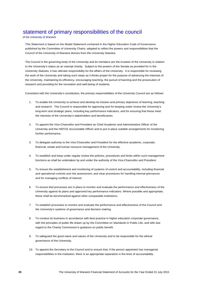### statement of primary responsibilities of the council

of the University of Warwick

This Statement is based on the Model Statement contained in the Higher Education Code of Governance published by the Committee of University Chairs, adapted to reflect the powers and responsibilities that the Council of the University of Warwick derives from the University Statutes.

The Council is the governing body of the University and its members are the trustees of the University in relation to the University's status as an exempt charity. Subject to the powers of the Senate as provided for in the University Statutes, it has ultimate responsibility for the affairs of the University. It is responsible for reviewing the work of the University and taking such steps as it thinks proper for the purpose of advancing the interests of the University, maintaining its efficiency, encouraging teaching, the pursuit of learning and the prosecution of research and providing for the recreation and well-being of students.

Consistent with the University's constitution, the primary responsibilities of the University Council are as follows:

- 1. To enable the University to achieve and develop its mission and primary objectives of learning, teaching and research. The Council is responsible for approving and for keeping under review the University's long-term and strategic plans, including key performance indicators, and for ensuring that these meet the interests of the University's stakeholders and beneficiaries.
- 2. To appoint the Vice-Chancellor and President as Chief Academic and Administrative Officer of the University and the HEFCE Accountable Officer and to put in place suitable arrangements for monitoring his/her performance.
- 3. To delegate authority to the Vice-Chancellor and President for the effective academic, corporate, financial, estate and human resource management of the University.
- 4. To establish and keep under regular review the policies, procedures and limits within such management functions as shall be undertaken by and under the authority of the Vice-Chancellor and President.
- 5. To ensure the establishment and monitoring of systems of control and accountability, including financial and operational controls and risk assessment, and clear procedures for handling internal grievances and for managing conflicts of interest.
- 6. To ensure that processes are in place to monitor and evaluate the performance and effectiveness of the University against its plans and approved key performance indicators. Where possible and appropriate, these shall be benchmarked against other comparable institutions.
- 7. To establish processes to monitor and evaluate the performance and effectiveness of the Council and the University's systems of governance and decision making.
- 8. To conduct its business in accordance with best practice in higher education corporate governance, with the principles of public life drawn up by the Committee on Standards in Public Life, and with due regard to the Charity Commission's guidance on public benefit.
- 9. To safeguard the good name and values of the University and to be responsible for the ethical governance of the University.
- 10. To appoint the Secretary to the Council and to ensure that, if the person appointed has managerial responsibilities in the institution, there is an appropriate separation in the lines of accountability.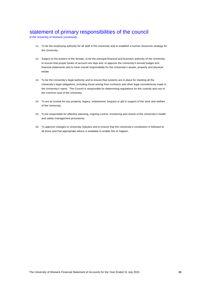### statement of primary responsibilities of the council

of the University of Warwick (continued)

- 11. To be the employing authority for all staff in the University and to establish a human resources strategy for the University.
- 12. Subject to the powers of the Senate, to be the principal financial and business authority of the University, to ensure that proper books of account are kept and, to approve the University's annual budget and financial statements and to have overall responsibility for the University's assets, property and physical estate.
- 13. To be the University's legal authority and to ensure that systems are in place for meeting all the University's legal obligations, including those arising from contracts and other legal commitments made in the University's name. The Council is responsible for determining regulations for the custody and use of the common seal of the University.
- 14. To act as trustee for any property, legacy, endowment, bequest or gift in support of the work and welfare of the University.
- 15. To be responsible for effective planning, ongoing control, monitoring and review of the University's health and safety management procedures.
- 16. To approve changes to University Statutes and to ensure that the University's constitution is followed at all times and that appropriate advice is available to enable this to happen.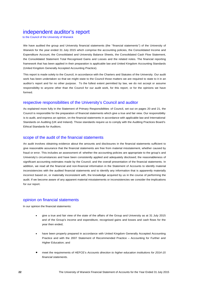### independent auditor's report

to the Council of the University of Warwick

We have audited the group and University financial statements (the ''financial statements'') of the University of Warwick for the year ended 31 July 2015 which comprise the accounting policies, the Consolidated Income and Expenditure Account, the Consolidated and University Balance Sheets, the Consolidated Cash Flow Statement, the Consolidated Statement Total Recognised Gains and Losses and the related notes. The financial reporting framework that has been applied in their preparation is applicable law and United Kingdom Accounting Standards (United Kingdom Generally Accepted Accounting Practice).

This report is made solely to the Council, in accordance with the Charters and Statutes of the University. Our audit work has been undertaken so that we might state to the Council those matters we are required to state to it in an auditor's report and for no other purpose. To the fullest extent permitted by law, we do not accept or assume responsibility to anyone other than the Council for our audit work, for this report, or for the opinions we have formed.

### respective responsibilities of the University's Council and auditor

As explained more fully in the Statement of Primary Responsibilities of Council, set out on pages 20 and 21, the Council is responsible for the preparation of financial statements which give a true and fair view. Our responsibility is to audit, and express an opinion, on the financial statements in accordance with applicable law and International Standards on Auditing (UK and Ireland). Those standards require us to comply with the Auditing Practices Board's Ethical Standards for Auditors.

### scope of the audit of the financial statements

An audit involves obtaining evidence about the amounts and disclosures in the financial statements sufficient to give reasonable assurance that the financial statements are free from material misstatement, whether caused by fraud or error. This includes an assessment of: whether the accounting policies are appropriate to the group's and University's circumstances and have been consistently applied and adequately disclosed; the reasonableness of significant accounting estimates made by the Council; and the overall presentation of the financial statements. In addition, we read all the financial and non-financial information in the Statement of Accounts to identify material inconsistencies with the audited financial statements and to identify any information that is apparently materially incorrect based on, or materially inconsistent with, the knowledge acquired by us in the course of performing the audit. If we become aware of any apparent material misstatements or inconsistencies we consider the implications for our report.

### opinion on financial statements

In our opinion the financial statements:

- give a true and fair view of the state of the affairs of the Group and University as at 31 July 2015 and of the Group's income and expenditure, recognised gains and losses and cash flows for the year then ended;
- have been properly prepared in accordance with United Kingdom Generally Accepted Accounting Practice and with the 2007 Statement of Recommended Practice – Accounting for Further and Higher Education; and
- meet the requirements of HEFCE's *Accounts direction to higher education institutions for 2014-15 financial statements*.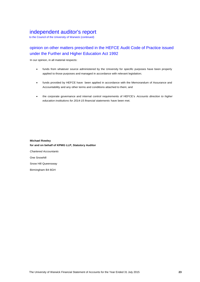### independent auditor's report

to the Council of the University of Warwick (continued)

### opinion on other matters prescribed in the HEFCE Audit Code of Practice issued under the Further and Higher Education Act 1992

In our opinion, in all material respects:

- funds from whatever source administered by the University for specific purposes have been properly applied to those purposes and managed in accordance with relevant legislation;
- funds provided by HEFCE have been applied in accordance with the Memorandum of Assurance and Accountability and any other terms and conditions attached to them; and
- the corporate governance and internal control requirements of HEFCE's *Accounts direction to higher education institutions for 2014-15 financial statements* have been met.

**Michael Rowley for and on behalf of KPMG LLP, Statutory Auditor** *Chartered Accountants* One Snowhill Snow Hill Queensway Birmingham B4 6GH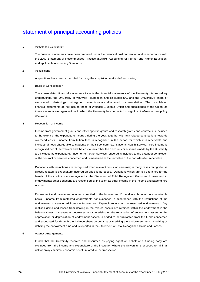#### 1 Accounting Convention

The financial statements have been prepared under the historical cost convention and in accordance with the 2007 Statement of Recommended Practice (SORP): Accounting for Further and Higher Education, and applicable Accounting Standards.

#### 2 Acquisitions

Acquisitions have been accounted for using the acquisition method of accounting.

### 3 Basis of Consolidation

The consolidated financial statements include the financial statements of the University, its subsidiary undertakings, the University of Warwick Foundation and its subsidiary, and the University's share of associated undertakings. Intra-group transactions are eliminated on consolidation. The consolidated financial statements do not include those of Warwick Students' Union and subsidiaries of the Union, as these are separate organisations in which the University has no control or significant influence over policy decisions.

#### 4 Recognition of Income

Income from government grants and other specific grants and research grants and contracts is included to the extent of the expenditure incurred during the year, together with any related contributions towards overhead costs. Income from tuition fees is recognised in the period for which it is receivable and includes all fees chargeable to students or their sponsors, e.g. National Health Service. Fee income is recognised net of fee waivers and the cost of any other fee discounts or bursaries made by the University are included as expenditure. Income from other services rendered is included to the extent of completion of the contract or services concerned and is measured at the fair value of the consideration receivable.

Donations with restrictions are recognised when relevant conditions are met; in many cases recognition is directly related to expenditure incurred on specific purposes. Donations which are to be retained for the benefit of the institution are recognised in the Statement of Total Recognised Gains and Losses and in endowments; other donations are recognised by inclusion as other income in the Income and Expenditure Account.

Endowment and investment income is credited to the Income and Expenditure Account on a receivable basis. Income from restricted endowments not expended in accordance with the restrictions of the endowment, is transferred from the Income and Expenditure Account to restricted endowments. Any realised gains and losses from dealing in the related assets are retained within the endowment in the balance sheet. Increases or decreases in value arising on the revaluation of endowment assets ie: the appreciation or depreciation of endowment assets, is added to or subtracted from the funds concerned and accounted for through the balance sheet by debiting or crediting the endowment asset, crediting or debiting the endowment fund and is reported in the Statement of Total Recognised Gains and Losses.

### 5 Agency Arrangements

Funds that the University receives and disburses as paying agent on behalf of a funding body are excluded from the income and expenditure of the institution where the University is exposed to minimal risk or enjoys minimal economic benefit related to the transaction.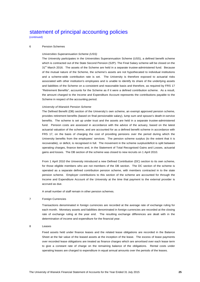(continued)

### 6 Pension Schemes

### *Universities Superannuation Scheme (USS)*

The University participates in the Universities Superannuation Scheme (USS), a defined benefit scheme which is contracted out of the State Second Pension (S2P). The Final Salary scheme will be closed on the 31<sup>st</sup> March 2016. The assets of the Scheme are held in a separate trustee-administered fund. Because of the mutual nature of the Scheme, the scheme's assets are not hypothecated to individual institutions and a scheme-wide contribution rate is set. The University is therefore exposed to actuarial risks associated with other institution's employees and is unable to identify its share of the underlying assets and liabilities of the Scheme on a consistent and reasonable basis and therefore, as required by FRS 17 "Retirement Benefits", accounts for the Scheme as if it were a defined contribution scheme. As a result, the amount charged to the Income and Expenditure Account represents the contributions payable to the Scheme in respect of the accounting period.

#### *University of Warwick Pension Scheme*

The Defined Benefit (DB) section of the University's own scheme, an exempt approved pension scheme, provides retirement benefits (based on final pensionable salary), lump sum and spouse's death-in-service benefits. The scheme is set up under trust and the assets are held in a separate trustee-administered fund. Pension costs are assessed in accordance with the advice of the actuary, based on the latest actuarial valuation of the scheme, and are accounted for as a defined benefit scheme in accordance with FRS 17, on the basis of charging the cost of providing pensions over the period during which the University benefits from the employees' services. The pension scheme surplus (to the extent that it is recoverable), or deficit, is recognised in full. The movement in the scheme surplus/deficit is split between operating charges, finance items and, in the Statement of Total Recognised Gains and Losses, actuarial gains and losses. The DB section of the scheme was closed to new recruits on 1 April 2010.

From 1 April 2010 the University introduced a new Defined Contribution (DC) section to its own scheme, for those eligible members who are not members of the DB section. The DC section of the scheme is operated as a separate defined contribution pension scheme, with members contracted in to the state pension scheme. Employer contributions to this section of the scheme are accounted for through the Income and Expenditure Account of the University at the time that payment to the external provider is accrued as due.

A small number of staff remain in other pension schemes.

#### 7 Foreign Currencies

Transactions denominated in foreign currencies are recorded at the average rate of exchange ruling for each month. Monetary assets and liabilities denominated in foreign currencies are recorded at the closing rate of exchange ruling at the year end. The resulting exchange differences are dealt with in the determination of income and expenditure for the financial year.

#### 8 Leases

Fixed assets held under finance leases and the related lease obligations are recorded in the Balance Sheet at the fair value of the leased assets at the inception of the lease. The excess of lease payments over recorded lease obligations are treated as finance charges which are amortised over each lease term to give a constant rate of charge on the remaining balance of the obligations. Rental costs under operating leases are charged to expenditure in equal annual amounts over the periods of the leases.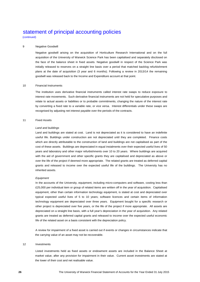(continued)

### 9 Negative Goodwill

Negative goodwill arising on the acquisition of Horticulture Research International and on the full acquisition of the University of Warwick Science Park has been capitalised and separately disclosed on the face of the balance sheet in fixed assets. Negative goodwill in respect of the Science Park was initially released to reserves on a straight line basis over a period that matched backlog refurbishment plans at the date of acquisition (3 year and 6 months). Following a review in 2013/14 the remaining goodwill was released back to the Income and Expenditure account at that point.

### 10 Financial Instruments

The institution uses derivative financial instruments called interest rate swaps to reduce exposure to interest rate movements. Such derivative financial instruments are not held for speculative purposes and relate to actual assets or liabilities or to probable commitments, changing the nature of the interest rate by converting a fixed rate to a variable rate, or vice versa. Interest differentials under these swaps are recognised by adjusting net interest payable over the periods of the contracts.

### 11 Fixed Assets

#### *Land and buildings*

Land and buildings are stated at cost. Land is not depreciated as it is considered to have an indefinite useful life. Buildings under construction are not depreciated until they are completed. Finance costs which are directly attributable to the construction of land and buildings are not capitalised as part of the cost of these assets. Buildings are depreciated in equal instalments over their expected useful lives of 50 years and laboratory and other major refurbishments over 10 to 20 years. Where buildings are acquired with the aid of government and other specific grants they are capitalised and depreciated as above or over the life of the project if deemed more appropriate. The related grants are treated as deferred capital grants and released to income over the expected useful life of the buildings. The University has no inherited assets.

#### *Equipment*

In the accounts of the University, equipment, including micro-computers and software, costing less than £25,000 per individual item or group of related items are written off in the year of acquisition. Capitalised equipment, other than certain information technology equipment, is stated at cost and depreciated over typical expected useful lives of 5 to 10 years; software licences and certain items of information technology equipment are depreciated over three years. Equipment bought for a specific research or other project is depreciated over five years, or the life of the project if more appropriate. All assets are depreciated on a straight line basis, with a full year's depreciation in the year of acquisition. Any related grants are treated as deferred capital grants and released to income over the expected useful economic life of the related asset on a basis consistent with the depreciation policy.

A review for impairment of a fixed asset is carried out if events or changes in circumstances indicate that the carrying value of an asset may not be recoverable.

### 12 Investments

Listed investments held as fixed assets or endowment assets are included in the Balance Sheet at market value, after any provision for impairment in their value. Current asset investments are stated at the lower of their cost and net realisable value.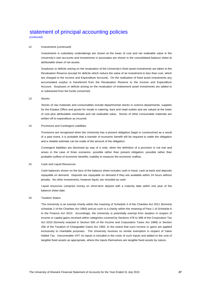(continued)

### 12 Investments (continued)

Investments in subsidiary undertakings are shown at the lower of cost and net realisable value in the University's own accounts and investments in associates are shown in the consolidated balance sheet at attributable share of net assets.

Surpluses or deficits arising on the revaluation of the University's fixed asset investments are taken to the Revaluation Reserve (except for deficits which reduce the value of an investment to less than cost, which are charged to the Income and Expenditure Account). On the realisation of fixed asset investments any accumulated surplus is transferred from the Revaluation Reserve to the Income and Expenditure Account. Surpluses or deficits arising on the revaluation of endowment asset investments are added to or subtracted from the funds concerned.

#### 13 Stocks

Stocks of raw materials and consumables include departmental stocks in science departments, supplies for the Estates Office and goods for resale in catering, bars and retail outlets and are valued at the lower of cost plus attributable overheads and net realisable value. Stocks of other consumable materials are written off to expenditure as incurred.

### 14 Provisions and Contingent Liabilities

Provisions are recognised when the University has a present obligation (legal or constructive) as a result of a past event, it is probable that a transfer of economic benefit will be required to settle the obligation and a reliable estimate can be made of the amount of the obligation.

Contingent liabilities are disclosed by way of a note, when the definition of a provision is not met and arises in the case of three scenarios: possible rather than present obligation; possible rather than probable outflow of economic benefits; inability to measure the economic outflow.

#### 15 Cash and Liquid Resources

Cash balances shown on the face of the balance sheet includes cash in hand, cash at bank and deposits repayable on demand. Deposits are repayable on demand if they are available within 24 hours without penalty. No other investments, however liquid, are included as cash.

Liquid resources comprise money on short-term deposit with a maturity date within one year of the balance sheet date.

#### 16 Taxation Status

The University is an exempt charity within the meaning of Schedule 3 of the Charities Act 2011 (formerly schedule 2 of the Charities Act 1993) and as such is a charity within the meaning of Para 1 of Schedule 6 to the Finance Act 2010. Accordingly, the University is potentially exempt from taxation in respect of income or capital gains received within categories covered by Sections 478 to 488 of the Corporation Tax Act 2010 (formerly enacted in Section 505 of the Income and Corporation Taxes Act 1988) or Section 256 of the Taxation of Chargeable Gains Act 1992, to the extent that such income or gains are applied exclusively to charitable purposes. The University receives no similar exemption in respect of Value Added Tax. Irrecoverable VAT on inputs is included in the costs of such inputs and added to the cost of tangible fixed assets as appropriate, where the inputs themselves are tangible fixed assets by nature.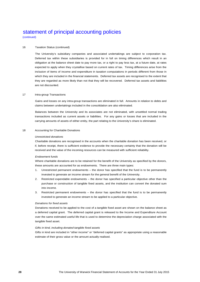(continued)

### 16 Taxation Status (continued)

The University's subsidiary companies and associated undertakings are subject to corporation tax. Deferred tax within these subsidiaries is provided for in full on timing differences which result in an obligation at the balance sheet date to pay more tax, or a right to pay less tax, at a future date, at rates expected to apply when they crystallise based on current rates of tax. Timing differences arise from the inclusion of items of income and expenditure in taxation computations in periods different from those in which they are included in the financial statements. Deferred tax assets are recognised to the extent that they are regarded as more likely than not that they will be recovered. Deferred tax assets and liabilities are not discounted.

### 17 Intra-group Transactions

Gains and losses on any intra-group transactions are eliminated in full. Amounts in relation to debts and claims between undertakings included in the consolidation are also eliminated.

Balances between the University and its associates are not eliminated, with unsettled normal trading transactions included as current assets or liabilities. For any gains or losses that are included in the carrying amounts of assets of either entity, the part relating to the University's share is eliminated.

#### 18 Accounting for Charitable Donations

#### *Unrestricted donations*

Charitable donations are recognised in the accounts when the charitable donation has been received, or if, before receipt, there is sufficient evidence to provide the necessary certainty that the donation will be received and the value of the incoming resources can be measured with sufficient reliability.

#### *Endowment funds*

Where charitable donations are to be retained for the benefit of the University as specified by the donors, these amounts are accounted for as endowments. There are three main types:

- 1. Unrestricted permanent endowments the donor has specified that the fund is to be permanently invested to generate an income stream for the general benefit of the University.
- 2. Restricted expendable endowments the donor has specified a particular objective other than the purchase or construction of tangible fixed assets, and the institution can convert the donated sum into income.
- 3. Restricted permanent endowments the donor has specified that the fund is to be permanently invested to generate an income stream to be applied to a particular objective.

#### *Donations for fixed assets*

Donations received to be applied to the cost of a tangible fixed asset are shown on the balance sheet as a deferred capital grant. The deferred capital grant is released to the Income and Expenditure Account over the same estimated useful life that is used to determine the depreciation charge associated with the tangible fixed asset.

#### *Gifts in kind, including donated tangible fixed assets*

Gifts in kind are included in "other income" or "deferred capital grants" as appropriate using a reasonable estimate of their gross value or the amount actually realised.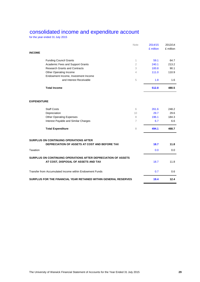### consolidated income and expenditure account

for the year ended 31 July 2015

| Note                                                                                                 | 2014/15   | 2013/14   |
|------------------------------------------------------------------------------------------------------|-----------|-----------|
|                                                                                                      | £ million | £ million |
| <b>INCOME</b>                                                                                        |           |           |
| <b>Funding Council Grants</b><br>$\mathbf{1}$                                                        | 59.1      | 64.7      |
| $\overline{2}$<br>Academic Fees and Support Grants                                                   | 240.1     | 213.2     |
| <b>Research Grants and Contracts</b><br>3                                                            | 100.8     | 90.1      |
| Other Operating Income<br>4                                                                          | 111.0     | 110.9     |
| Endowment Income, Investment Income                                                                  |           |           |
| and Interest Receivable<br>5                                                                         | 1.8       | 1.6       |
| <b>Total Income</b>                                                                                  | 512.8     | 480.5     |
| <b>EXPENDITURE</b>                                                                                   |           |           |
| <b>Staff Costs</b><br>6                                                                              | 261.6     | 248.2     |
| Depreciation<br>10                                                                                   | 29.7      | 29.6      |
| <b>Other Operating Expenses</b><br>8                                                                 | 196.1     | 184.3     |
| $\overline{7}$<br>Interest Payable and Similar Charges                                               | 6.7       | 6.6       |
| 8<br><b>Total Expenditure</b>                                                                        | 494.1     | 468.7     |
| <b>SURPLUS ON CONTINUING OPERATIONS AFTER</b>                                                        |           |           |
| DEPRECIATION OF ASSETS AT COST AND BEFORE TAX                                                        | 18.7      | 11.8      |
| Taxation                                                                                             | 0.0       | 0.0       |
| SURPLUS ON CONTINUING OPERATIONS AFTER DEPRECIATION OF ASSETS<br>AT COST, DISPOSAL OF ASSETS AND TAX | 18.7      | 11.8      |
| Transfer from Accumulated Income within Endowment Funds                                              | 0.7       | 0.6       |
| SURPLUS FOR THE FINANCIAL YEAR RETAINED WITHIN GENERAL RESERVES                                      | 19.4      | 12.4      |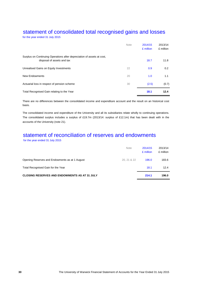# statement of consolidated total recognised gains and losses

for the year ended 31 July 2015

|                                                                                                      | <b>Note</b> | 2014/15<br>£ million | 2013/14<br>£ million |
|------------------------------------------------------------------------------------------------------|-------------|----------------------|----------------------|
| Surplus on Continuing Operations after depreciation of assets at cost,<br>disposal of assets and tax |             | 18.7                 | 11.8                 |
| Unrealised Gains on Equity Investments                                                               | 22          | 0.9                  | 0.2                  |
| New Endowments                                                                                       | 20          | 1.0                  | 1.1                  |
| Actuarial loss in respect of pension scheme                                                          | 30          | (2.5)                | (0.7)                |
| Total Recognised Gain relating to the Year                                                           |             | 18.1                 | 12.4                 |

There are no differences between the consolidated income and expenditure account and the result on an historical cost basis.

The consolidated income and expenditure of the University and all its subsidiaries relate wholly to continuing operations. The consolidated surplus includes a surplus of £19.7m (2013/14: surplus of £12.1m) that has been dealt with in the accounts of the University (note 21).

# statement of reconciliation of reserves and endowments

for the year ended 31 July 2015

|                                                      | <b>Note</b> | 2014/15<br>£ million | 2013/14<br>£ million |
|------------------------------------------------------|-------------|----------------------|----------------------|
| Opening Reserves and Endowments as at 1 August       | 20.21 & 22  | 196.0                | 183.6                |
| Total Recognised Gain for the Year                   |             | 18.1                 | 12.4                 |
| <b>CLOSING RESERVES AND ENDOWMENTS AS AT 31 JULY</b> |             | 214.1                | 196.0                |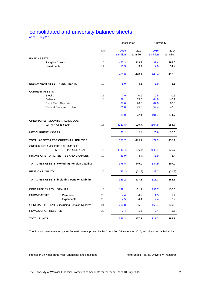# consolidated and university balance sheets

as at 31 July 2015

|                                                                 |                                                      |             | Consolidated      |                   | University        |                   |
|-----------------------------------------------------------------|------------------------------------------------------|-------------|-------------------|-------------------|-------------------|-------------------|
|                                                                 |                                                      | <b>Note</b> | 2015<br>£ million | 2014<br>£ million | 2015<br>£ million | 2014<br>£ million |
| <b>FIXED ASSETS</b>                                             |                                                      |             |                   |                   |                   |                   |
| Tangible Assets                                                 |                                                      | 10          | 450.3             | 418.7             | 431.4             | 398.6             |
| Investments                                                     |                                                      | 11          | 11.3              | 9.4               | 17.0              | 14.9              |
|                                                                 |                                                      |             | 461.6             | 428.1             | 448.4             | 413.5             |
| <b>ENDOWMENT ASSET INVESTMENTS</b>                              |                                                      | 12          | 8.9               | 8.6               | 3.9               | 3.6               |
| <b>CURRENT ASSETS</b>                                           |                                                      |             |                   |                   |                   |                   |
| <b>Stocks</b>                                                   |                                                      | 13          | 0.9               | 0.9               | 0.5               | 0.5               |
| <b>Debtors</b>                                                  |                                                      | 14          | 39.1              | 35.6              | 44.8              | 40.1              |
| <b>Short Term Deposits</b>                                      |                                                      |             | 87.0              | 90.3              | 87.0              | 90.3              |
|                                                                 | Cash at Bank and in Hand                             |             | 61.0              | 45.3              | 59.4              | 43.8              |
|                                                                 |                                                      |             | 188.0             | 172.1             | 191.7             | 174.7             |
| <b>CREDITORS: AMOUNTS FALLING DUE</b><br><b>WITHIN ONE YEAR</b> |                                                      | 15          | (137.8)           | (129.7)           | (164.8)           | (154.7)           |
| <b>NET CURRENT ASSETS</b>                                       |                                                      |             | 50.2              | 42.4              | 26.9              | 20.0              |
| TOTAL ASSETS LESS CURRENT LIABILITIES                           |                                                      |             | 520.7             | 479.1             | 479.2             | 437.1             |
| <b>CREDITORS: AMOUNTS FALLING DUE</b>                           | AFTER MORE THAN ONE YEAR                             | 16          | (140.4)           | (126.7)           | (140.4)           | (126.7)           |
| PROVISIONS FOR LIABILITIES AND CHARGES                          |                                                      | 19          | (3.9)             | (3.4)             | (3.9)             | (3.4)             |
|                                                                 | TOTAL NET ASSETS, excluding Pension Liability        |             | 376.4             | 349.0             | 334.9             | 307.0             |
| <b>PENSION LIABILITY</b>                                        |                                                      | 30          | (23.2)            | (21.9)            | (23.2)            | (21.9)            |
|                                                                 | <b>TOTAL NET ASSETS, including Pension Liability</b> |             | 353.2             | 327.1             | 311.7             | 285.1             |
| DEFERRED CAPITAL GRANTS                                         |                                                      | 18          | 139.1             | 131.1             | 138.7             | 130.5             |
| <b>ENDOWMENTS:</b>                                              | Permanent                                            | 20          | 4.4               | 4.2               | 1.5               | 1.4               |
|                                                                 | Expendable                                           | 20          | 4.5               | 4.4               | 2.4               | 2.2               |
|                                                                 | <b>GENERAL RESERVES, including Pension Reserve</b>   | 21          | 202.8             | 185.9             | 166.7             | 149.5             |
| REVALUATION RESERVE                                             |                                                      | 22          | 2.4               | 1.5               | 2.4               | 1.5               |
| <b>TOTAL FUNDS</b>                                              |                                                      |             | 353.2             | 327.1             | 311.7             | 285.1             |

The financial statements on pages 29 to 61 were approved by the Council on 25 November 2015, and signed on its behalf by:

Professor Sir Nigel Thrift, Vice-Chancellor and President Keith Bedell-Pearce, University Treasurer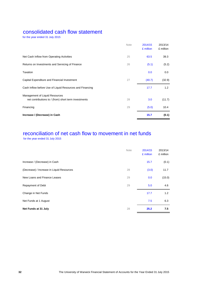### consolidated cash flow statement

for the year ended 31 July 2015

|                                                                                        | <b>Note</b> | 2014/15<br>£ million | 2013/14<br>£ million |
|----------------------------------------------------------------------------------------|-------------|----------------------|----------------------|
| Net Cash Inflow from Operating Activities                                              | 25          | 63.5                 | 39.3                 |
| Returns on Investments and Servicing of Finance                                        | 26          | (5.1)                | (5.2)                |
| Taxation                                                                               |             | 0.0                  | 0.0                  |
| Capital Expenditure and Financial Investment                                           | 27          | (40.7)               | (32.9)               |
| Cash Inflow before Use of Liquid Resources and Financing                               |             | 17.7                 | 1.2                  |
| Management of Liquid Resources<br>net contributions to / (from) short term investments | 28          | 3.0                  | (11.7)               |
| Financing                                                                              | 29          | (5.0)                | 10.4                 |
| Increase / (Decrease) in Cash                                                          |             | 15.7                 | (0.1)                |

# reconciliation of net cash flow to movement in net funds

for the year ended 31 July 2015

|                                           | Note | 2014/15<br>£ million | 2013/14<br>£ million |
|-------------------------------------------|------|----------------------|----------------------|
| Increase / (Decrease) in Cash             |      | 15.7                 | (0.1)                |
| (Decrease) / Increase in Liquid Resources | 28   | (3.0)                | 11.7                 |
| New Loans and Finance Leases              | 29   | 0.0                  | (15.0)               |
| Repayment of Debt                         | 29   | 5.0                  | 4.6                  |
| Change in Net Funds                       |      | 17.7                 | 1.2                  |
| Net Funds at 1 August                     |      | 7.5                  | 6.3                  |
| Net Funds at 31 July                      | 28   | 25.2                 | 7.5                  |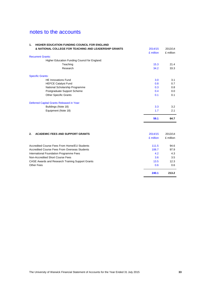| HIGHER EDUCATION FUNDING COUNCIL FOR ENGLAND<br>1.    |           |           |
|-------------------------------------------------------|-----------|-----------|
| & NATIONAL COLLEGE FOR TEACHING AND LEADERSHIP GRANTS | 2014/15   | 2013/14   |
|                                                       | £ million | £ million |
| <b>Recurrent Grants:</b>                              |           |           |
| Higher Education Funding Council for England:         |           |           |
| Teaching                                              | 15.3      | 21.4      |
| Research                                              | 34.2      | 33.3      |
| <b>Specific Grants:</b>                               |           |           |
| <b>HE Innovations Fund</b>                            | 3.0       | 3.1       |
| <b>HEFCE Catalyst Fund</b>                            | 0.8       | 0.7       |
| National Scholarship Programme                        | 0.3       | 0.8       |
| Postgraduate Support Scheme                           | 0.4       | 0.0       |
| <b>Other Specific Grants</b>                          | 0.1       | 0.1       |
| Deferred Capital Grants Released in Year:             |           |           |
| Buildings (Note 18)                                   | 3.3       | 3.2       |
| Equipment (Note 18)                                   | 1.7       | 2.1       |
|                                                       | 59.1      | 64.7      |
| <b>ACADEMIC FEES AND SUPPORT GRANTS</b><br>2.         | 2014/15   | 2013/14   |
|                                                       | £ million | £ million |
| Accredited Course Fees From Home/EU Students          | 111.5     | 94.6      |
| Accredited Course Fees From Overseas Students         | 106.7     | 97.9      |
| International Foundation Programme Fees               | 4.2       | 4.3       |
| Non-Accredited Short Course Fees                      | 3.6       | 3.5       |
| CASE Awards and Research Training Support Grants      | 13.5      | 12.3      |
| <b>Other Fees</b>                                     | 0.6       | 0.6       |
|                                                       | 240.1     | 213.2     |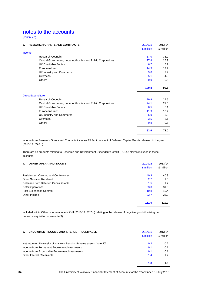(continued)

| 3. | <b>RESEARCH GRANTS AND CONTRACTS</b>                          | 2014/15   | 2013/14   |
|----|---------------------------------------------------------------|-----------|-----------|
|    |                                                               | £ million | £ million |
|    | Income                                                        |           |           |
|    | <b>Research Councils</b>                                      | 37.0      | 33.9      |
|    | Central Government, Local Authorities and Public Corporations | 27.8      | 25.9      |
|    | <b>UK Charitable Bodies</b>                                   | 6.7       | 5.2       |
|    | European Union                                                | 14.3      | 12.7      |
|    | UK Industry and Commerce                                      | 9.0       | 7.9       |
|    | Overseas                                                      | 5.1       | 4.0       |
|    | Others                                                        | 0.9       | 0.5       |
|    |                                                               | 100.8     | 90.1      |
|    | <b>Direct Expenditure</b>                                     |           |           |
|    | <b>Research Councils</b>                                      | 29.9      | 27.6      |
|    | Central Government, Local Authorities and Public Corporations | 24.1      | 21.0      |
|    | <b>UK Charitable Bodies</b>                                   | 6.5       | 5.1       |
|    | European Union                                                | 11.9      | 10.4      |
|    | UK Industry and Commerce                                      | 5.9       | 5.3       |
|    | Overseas                                                      | 3.5       | 3.1       |
|    | Others                                                        | 0.8       | 0.5       |
|    |                                                               | 82.6      | 73.0      |

Income from Research Grants and Contracts includes £5.7m in respect of Deferred Capital Grants released in the year (2013/14: £5.8m).

There are no amounts relating to Research and Development Expenditure Credit (RDEC) claims included in these accounts.

| <b>OTHER OPERATING INCOME</b><br>4.   | 2014/15<br>£ million | 2013/14<br>£ million |
|---------------------------------------|----------------------|----------------------|
| Residences, Catering and Conferences  | 40.3                 | 40.3                 |
| <b>Other Services Rendered</b>        | 2.7                  | 1.5                  |
| Released from Deferred Capital Grants | 1.5                  | 1.7                  |
| <b>Retail Operations</b>              | 33.0                 | 31.8                 |
| Post-Experience Centres               | 10.8                 | 10.4                 |
| Other Income                          | 22.7                 | 25.2                 |
|                                       | 111.0                | 110.9                |

Included within Other Income above is £Nil (2013/14: £2.7m) relating to the release of negative goodwill arising on previous acquisitions (see note 9).

| <b>ENDOWMENT INCOME AND INTEREST RECEIVABLE</b><br>5.               | 2014/15<br>£ million | 2013/14<br>£ million |
|---------------------------------------------------------------------|----------------------|----------------------|
| Net return on University of Warwick Pension Scheme assets (note 30) | $0.2^{\circ}$        | 0.2                  |
| Income from Permanent Endowment investments                         | 0.1                  | 0.1                  |
| Income from Expendable Endowment investments                        | 0.1                  | 0.1                  |
| Other Interest Receivable                                           | 1.4                  | 1.2                  |
|                                                                     | 1.8                  | 1.6                  |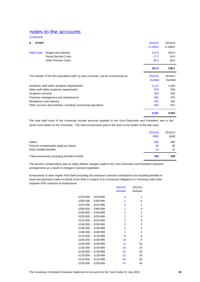(continued)

| 6. | <b>STAFF</b>        |                                                                                      | 2014/15       | 2013/14   |
|----|---------------------|--------------------------------------------------------------------------------------|---------------|-----------|
|    |                     |                                                                                      | £ million     | £ million |
|    | <b>Staff Costs:</b> | Wages and Salaries                                                                   | 215.6         | 204.5     |
|    |                     | <b>Social Security Costs</b>                                                         | 17.7          | 16.9      |
|    |                     | <b>Other Pension Costs</b>                                                           | 28.3          | 26.8      |
|    |                     |                                                                                      | 261.6         | 248.2     |
|    |                     | The number of full time equivalent staff, by area of activity, can be summarised as: | 2014/15       | 2013/14   |
|    |                     |                                                                                      | <b>Number</b> | Number    |
|    |                     | Academic staff within academic departments                                           | 2,111         | 1,920     |
|    |                     | Other staff within academic departments                                              | 978           | 949       |
|    | Academic services   |                                                                                      | 384           | 326       |
|    |                     | Premises management and maintenance                                                  | 402           | 370       |
|    |                     | Residences and catering                                                              | 442           | 440       |
|    |                     | Other services and activities, including commercial operations                       | 904           | 927       |
|    |                     |                                                                                      | 5,221         | 4,932     |

The total staff costs of the University include amounts payable to the Vice-Chancellor and President, who is the senior post-holder at the University. The total emoluments paid in the year to the holder of this title were:

|                                                                           | 2014/15<br>£000 | 2013/14<br>£000 |
|---------------------------------------------------------------------------|-----------------|-----------------|
| Salary<br>Pension compensation (paid as salary)<br>Other taxable benefits | 290<br>46<br>13 | 290<br>46<br>12 |
| Total emoluments (including benefits-in-kind)                             | 349             | 348             |

The pension compensation paid as salary follows changes made to the Vice-Chancellor and President's pension arrangements as a result of changes in pension legislation.

Emoluments of other Higher Paid Staff (excluding the employer's pension contributions but including benefits-inkind) and payments made on behalf of the NHS in respect of its contractual obligations to University staff under separate NHS contracts of employment:

|                     | 2014/15        | 2013/14 |
|---------------------|----------------|---------|
|                     | Number         | Number  |
| £370,000 - £379,999 | 0              | 1       |
| £350,000 - £359,999 | 1              | 0       |
| £310,000 - £319,999 | 0              | 1       |
| £300,000 - £309,999 | 1              | 0       |
| £240,000 - £249,999 | 1              | 1       |
| £220,000 - £229,999 | 1              | 0       |
| £210,000 - £219,999 | $\overline{2}$ | 3       |
| £200,000 - £209,999 | 3              | 0       |
| £190,000 - £199,999 | 2              | 4       |
| £180,000 - £189,999 | 1              | 2       |
| £170,000 - £179,999 | 8              | 6       |
| £160,000 - £169,999 | 10             | 9       |
| £150,000 - £159,999 | 11             | 16      |
| £140,000 - £149,999 | 16             | 15      |
| £130,000 - £139,999 | 14             | 18      |
| £120,000 - £129,999 | 21             | 20      |
| £110,000 - £119,999 | 26             | 28      |
| £100,000 - £109,999 | 47             | 34      |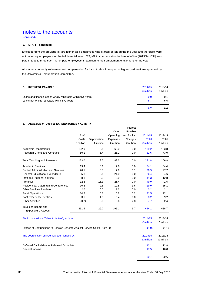(continued)

### **6. STAFF - continued**

Excluded from the previous list are higher paid employees who started or left during the year and therefore were not university employees for the full financial year. £79,409 in compensation for loss of office (2013/14: £Nil) was paid in total to three such higher paid employees, in addition to their emolument entitlement for the year.

All amounts for early retirement and compensation for loss of office in respect of higher paid staff are approved by the University's Remuneration Committee.

|                                                             | 6.7       | 6.6       |
|-------------------------------------------------------------|-----------|-----------|
| Loans not wholly repayable within five years                | 6.7       | 6.5       |
| Loans and finance leases wholly repayable within five years |           | 0.1       |
|                                                             | £ million | £ million |
| 7.<br><b>INTEREST PAYABLE</b>                               | 2014/15   | 2013/14   |
|                                                             |           |           |

Interest

### **8. ANALYSIS 0F 2014/15 EXPENDITURE BY ACTIVITY**

|                                                                           | Staff<br>Costs<br>£ million | Depreciation<br>£ million | Other<br>Operating<br>Expenses<br>£ million | Payable<br>and Similar<br>Charges<br>£ million | 2014/15<br><b>Total</b><br>£ million | 2013/14<br>Total<br>£ million |
|---------------------------------------------------------------------------|-----------------------------|---------------------------|---------------------------------------------|------------------------------------------------|--------------------------------------|-------------------------------|
| <b>Academic Departments</b>                                               | 122.9                       | 3.1                       | 63.2                                        | 0.0                                            | 189.2                                | 183.8                         |
| <b>Research Grants and Contracts</b>                                      | 50.1                        | 6.4                       | 26.1                                        | 0.0                                            | 82.6                                 | 73.0                          |
| <b>Total Teaching and Research</b>                                        | 173.0                       | 9.5                       | 89.3                                        | 0.0                                            | 271.8                                | 256.8                         |
| <b>Academic Services</b>                                                  | 13.4                        | 3.1                       | 17.6                                        | 0.0                                            | 34.1                                 | 34.4                          |
| <b>Central Administration and Services</b>                                | 20.1                        | 0.8                       | 7.9                                         | 0.1                                            | 28.9                                 | 27.7                          |
| <b>General Educational Expenditure</b>                                    | 5.3                         | 0.1                       | 21.0                                        | 0.0                                            | 26.4                                 | 24.6                          |
| <b>Staff and Student Facilities</b>                                       | 8.1                         | 0.2                       | 6.0                                         | 0.0                                            | 14.3                                 | 12.8                          |
| Premises                                                                  | 12.3                        | 11.3                      | 25.4                                        | 0.0                                            | 49.0                                 | 41.5                          |
| Residences, Catering and Conferences                                      | 10.3                        | 2.6                       | 12.5                                        | 3.6                                            | 29.0                                 | 35.1                          |
| <b>Other Services Rendered</b>                                            | 2.0                         | 0.0                       | 1.2                                         | 0.0                                            | 3.2                                  | 2.1                           |
| <b>Retail Operations</b>                                                  | 14.3                        | 0.8                       | 6.2                                         | 0.2                                            | 21.5                                 | 22.1                          |
| <b>Post-Experience Centres</b>                                            | 3.5                         | 1.3                       | 3.4                                         | 0.0                                            | 8.2                                  | 9.2                           |
| <b>Other Activities</b>                                                   | (0.7)                       | 0.0                       | 5.6                                         | 2.8                                            | 7.7                                  | 2.4                           |
| Total per Income and<br><b>Expenditure Account</b>                        | 261.6                       | 29.7                      | 196.1                                       | 6.7                                            | 494.1                                | 468.7                         |
| Staff costs, within "Other Activities", include:                          |                             |                           |                                             |                                                | 2014/15<br>£ million                 | 2013/14<br>£ million          |
| Excess of Contributions to Pension Scheme Against Service Costs (Note 30) |                             |                           |                                             |                                                | (1.0)                                | (1.1)                         |
| The depreciation charge has been funded by:                               |                             |                           |                                             |                                                | 2014/15<br>£ million                 | 2013/14<br>£ million          |
| Deferred Capital Grants Released (Note 18)<br>General Income              |                             |                           |                                             |                                                | 12.2<br>17.5                         | 12.8<br>16.8                  |
|                                                                           |                             |                           |                                             |                                                | 29.7                                 | 29.6                          |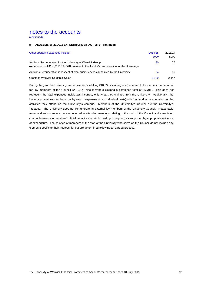(continued)

#### **8. ANALYSIS 0F 2014/15 EXPENDITURE BY ACTIVITY - continued**

| Other operating expenses include:                                                                                                                          | 2014/15<br>£000 | 2013/14<br>£000 |
|------------------------------------------------------------------------------------------------------------------------------------------------------------|-----------------|-----------------|
| Auditor's Remuneration for the University of Warwick Group<br>(An amount of £41k (2013/14: £41k) relates to the Auditor's remuneration for the University) | 80              | 77              |
| Auditor's Remuneration in respect of Non-Audit Services appointed by the University                                                                        | 34              | 36              |
| <b>Grants to Warwick Students' Union</b>                                                                                                                   | 2.729           | 2.447           |

During the year the University made payments totalling £10,096 including reimbursement of expenses, on behalf of ten lay members of the Council (2013/14: nine members claimed a combined total of £5,701). This does not represent the total expenses individuals incurred, only what they claimed from the University. Additionally, the University provides members (not by way of expenses on an individual basis) with food and accommodation for the activities they attend on the University's campus. Members of the University's Council are the University's Trustees. The University does not remunerate its external lay members of the University Council. Reasonable travel and subsistence expenses incurred in attending meetings relating to the work of the Council and associated charitable events in members' official capacity are reimbursed upon request, as supported by appropriate evidence of expenditure. The salaries of members of the staff of the University who serve on the Council do not include any element specific to their trusteeship, but are determined following an agreed process.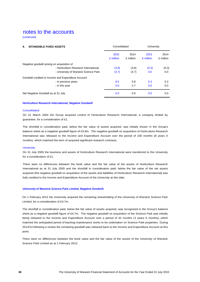(continued)

| <b>INTANGIBLE FIXED ASSETS</b><br>9.                |                   | Consolidated      |                   | University        |  |
|-----------------------------------------------------|-------------------|-------------------|-------------------|-------------------|--|
|                                                     | 2015<br>£ million | 2014<br>£ million | 2015<br>£ million | 2014<br>£ million |  |
| Negative goodwill arising on acquisition of         |                   |                   |                   |                   |  |
| - Horticulture Research International               | (3.8)             | (3.8)             | (5.3)             | (5.3)             |  |
| - University of Warwick Science Park                | (4.7)             | (4.7)             | 0.0               | 0.0               |  |
| Goodwill credited to Income and Expenditure Account |                   |                   |                   |                   |  |
| - in previous years                                 | 8.5               | 5.8               | 5.3               | 5.3               |  |
| - in this year                                      | 0.0               | 2.7               | 0.0               | 0.0               |  |
| Net Negative Goodwill as at 31 July                 | 0.0               | 0.0               | 0.0               | 0.0               |  |

#### **Horticulture Research International, Negative Goodwill**

### **Consolidated**

On 31 March 2004 the Group acquired control of Horticulture Research International, a company limited by guarantee, for a consideration of £1.

The shortfall in consideration paid, below the fair value of assets acquired, was initially shown in the Group's balance sheet as a negative goodwill figure of £3.8m. The negative goodwill on acquisition of Horticulture Research International was released to the Income and Expenditure Account over the period of 100 months (8 years 4 months), which matched the term of acquired significant research contracts.

#### **University**

On 31 July 2005 the business and assets of Horticulture Research International were transferred to the University for a consideration of £1.

There were no differences between the book value and the fair value of the assets of Horticulture Research International as at 31 July 2005 and the shortfall in consideration paid, below the fair value of the net assets acquired (the negative goodwill on acquisition of the assets and liabilities of Horticulture Research International) was fully credited to the Income and Expenditure Account of the University at this date.

### **University of Warwick Science Park Limited, Negative Goodwill**

On 1 February 2012 the University acquired the remaining shareholding of the University of Warwick Science Park Limited, for a consideration of £3.7m.

The shortfall in consideration paid, below the fair value of assets acquired, was recognised in the Group's balance sheet as a negative goodwill figure of £4.7m. The negative goodwill on acquisition of the Science Park was initially being released to the Income and Expenditure Account over a period of 42 months (3 years 6 months), which matched the anticipated period of backlog maintenance works to be undertaken on Science Park properties. During 2013/14 following a review the remaining goodwill was released back to the Income and Expenditure Account at this point.

There were no differences between the book value and the fair value of the assets of the University of Warwick Science Park Limited as at 1 February 2012.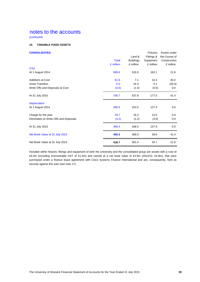(continued)

### **10. TANGIBLE FIXED ASSETS**

| <b>CONSOLIDATED</b>                    |              |                  | Fixtures.  | Assets under  |
|----------------------------------------|--------------|------------------|------------|---------------|
|                                        |              | Land &           | Fittings & | the Course of |
|                                        | <b>Total</b> | <b>Buildings</b> | Equipment  | Construction  |
|                                        | £ million    | £ million        | £ million  | £ million     |
| Cost                                   |              |                  |            |               |
| At 1 August 2014                       | 699.6        | 515.9            | 162.1      | 21.6          |
| <b>Additions at Cost</b>               | 61.6         | 7.1              | 14.3       | 40.2          |
| <b>Asset Transfers</b>                 | 0.0          | 16.3             | 4.1        | (20.4)        |
| Write Offs and Disposals at Cost       | (4.5)        | (1.5)            | (3.0)      | 0.0           |
| At 31 July 2015                        | 756.7        | 537.8            | 177.5      | 41.4          |
| Depreciation                           |              |                  |            |               |
| At 1 August 2014                       | 280.9        | 153.5            | 127.4      | 0.0           |
| Charge for the year                    | 29.7         | 16.2             | 13.5       | 0.0           |
| Eliminated on Write Offs and Disposals | (4.2)        | (1.2)            | (3.0)      | 0.0           |
| At 31 July 2015                        | 306.4        | 168.5            | 137.9      | 0.0           |
| Net Book Value at 31 July 2015         | 450.3        | 369.3            | 39.6       | 41.4          |
| Net Book Value at 31 July 2014         | 418.7        | 362.4            | 34.7       | 21.6          |

Included within fixtures, fittings and equipment of both the University and the consolidated group are assets with a cost of £9.4m (including irrecoverable VAT of £1.4m) and carried at a net book value of £3.9m (2013/14: £4.8m), that were purchased under a finance lease agreement with Cisco Systems Finance International and are, consequently, held as security against this loan (see note 17).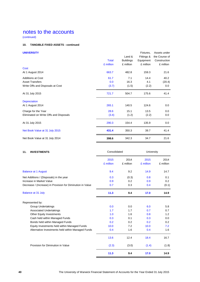(continued)

### **10. TANGIBLE FIXED ASSETS - continued**

| <b>UNIVERSITY</b>                      |              |                  | Fixtures,  | Assets under  |
|----------------------------------------|--------------|------------------|------------|---------------|
|                                        |              | Land &           | Fittings & | the Course of |
|                                        | <b>Total</b> | <b>Buildings</b> | Equipment  | Construction  |
|                                        | £ million    | £ million        | £ million  | £ million     |
| Cost                                   |              |                  |            |               |
| At 1 August 2014                       | 663.7        | 482.8            | 159.3      | 21.6          |
| <b>Additions at Cost</b>               | 61.7         | 7.1              | 14.4       | 40.2          |
| <b>Asset Transfers</b>                 | 0.0          | 16.3             | 4.1        | (20.4)        |
| Write Offs and Disposals at Cost       | (3.7)        | (1.5)            | (2.2)      | 0.0           |
| At 31 July 2015                        | 721.7        | 504.7            | 175.6      | 41.4          |
| <b>Depreciation</b>                    |              |                  |            |               |
| At 1 August 2014                       | 265.1        | 140.5            | 124.6      | 0.0           |
| Charge for the Year                    | 28.6         | 15.1             | 13.5       | 0.0           |
| Eliminated on Write Offs and Disposals | (3.4)        | (1.2)            | (2.2)      | 0.0           |
| At 31 July 2015                        | 290.3        | 154.4            | 135.9      | 0.0           |
| Net Book Value at 31 July 2015         | 431.4        | 350.3            | 39.7       | 41.4          |
| Net Book Value at 31 July 2014         | 398.6        | 342.3            | 34.7       | 21.6          |

| 11.<br><b>INVESTMENTS</b>                                  |                   | Consolidated      |                   | University<br>2014 |
|------------------------------------------------------------|-------------------|-------------------|-------------------|--------------------|
|                                                            | 2015<br>£ million | 2014<br>£ million | 2015<br>£ million | £ million          |
| <b>Balance at 1 August</b>                                 | 9.4               | 9.2               | 14.9              | 14.7               |
| Net Additions / (Disposals) in the year                    | 0.3               | (0.3)             | 0.8               | 0.1                |
| Increase in Market Value                                   | 0.9               | 0.2               | 0.9               | 0.2                |
| Decrease / (Increase) in Provision for Diminution in Value | 0.7               | 0.3               | 0.4               | (0.1)              |
| <b>Balance at 31 July</b>                                  | 11.3              | 9.4               | 17.0              | 14.9               |
| Represented by:                                            |                   |                   |                   |                    |
| <b>Group Undertakings</b>                                  | 0.0               | 0.0               | 6.0               | 5.8                |
| Associated Undertakings                                    | 1.7               | 1.7               | 0.7               | 0.7                |
| <b>Other Equity Investments</b>                            | 1.0               | 1.6               | 0.8               | 1.2                |
| Cash held within Managed Funds                             | 0.3               | 0.1               | 0.3               | 0.0                |
| Bonds held within Managed Funds                            | 0.2               | 0.2               | 0.2               | 0.2                |
| Equity Investments held within Managed Funds               | 10.0              | 7.2               | 10.0              | 7.2                |
| Alternative Investments held within Managed Funds          | 0.4               | 1.6               | 0.4               | 1.6                |
|                                                            | 13.6              | 12.4              | 18.4              | 16.7               |
| Provision for Diminution in Value                          | (2.3)             | (3.0)             | (1.4)             | (1.8)              |
|                                                            | 11.3              | 9.4               | 17.0              | 14.9               |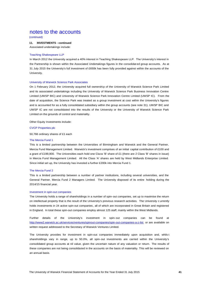(continued)

### **11. INVESTMENTS - continued**

Associated undertakings include:

### Teaching Shakespeare LLP

In March 2012 the University acquired a 40% interest in Teaching Shakespeare LLP. The University's interest in the Partnership is shown within the Associated Undertakings figures in the consolidat ed group accounts. As at 31 July 2015 the University's full investment of £650k has been fully provided against within the accounts of the University.

#### University of Warwick Science Park Associates

On 1 February 2012, the University acquired full ownership of the University of Warwick Science Park Limited and its associated undertakings including the University of Warwick Science Park Business Innovation Centre Limited (UWSP BIC) and University of Warwick Science Park Innovation Centre Limited (UWSP IC). From the date of acquisition, the Science Park was treated as a group investment at cost within the University's figures and is accounted for as a fully consolidated subsidiary within the group accounts (see note 31). UWSP BIC and UWSP IC are not consolidated into the results of the University or the University of Warwick Science Park Limited on the grounds of control and materiality.

Other Equity Investments include:

CVCP Properties plc

50,766 ordinary shares of £1 each

#### The Mercia Fund 1

This is a limited partnership between the Universities of Birmingham and Warwick and the General Partner, Mercia Fund Management Limited. Warwick's investment comprises of an initial capital contribution of £100 and a grant of £199,900. The Universities each hold one Class 'B' share of £1 (there are 2 Class 'B' shares in issue) in Mercia Fund Management Limited. All the Class 'A' shares are held by West Midlands Enterprise Limited. Since initial set up, the University has invested a further £200k into Mercia Fund 1.

#### The Mercia Fund 2

This is a limited partnership between a number of partner institutions, including several universities, and the General Partner, Mercia Fund 2 Managers Limited. The University disposed of its entire holding during the 2014/15 financial year.

#### Investment in spin-out companies

The University holds a range of shareholdings in a number of spin-out companies, set up to maximise the return on intellectual property that is the result of the University's previous research activities. The University c urrently holds investments in 24 active spin-out companies, all of which are incorporated in Great Britain and registered in England. In total these spin-out companies employ almost 125 staff, mainly within the West Midlands.

Further details of the University's investment in spin- out companies can be found at http://www2.warwick.ac.uk/services/ventures/spinout-companies/spin-out-companies-a-z-list or are available on written request addressed to the Secretary of Warwick Ventures Limited.

The University provides for investment in spin-out companies immediately upon acquisition and, whils t shareholdings vary in range, up to 50.0%, all spin-out investments are carried within the University's consolidated group accounts at nil value, given the uncertain nature of any valuation or return. The results of these companies are not being consolidated in the accounts on the basis of materiality. This will be reviewed on an annual basis.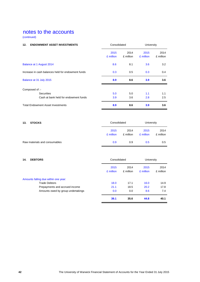(continued)

| <b>ENDOWMENT ASSET INVESTMENTS</b><br>12.          | Consolidated      |                   | University        |                   |
|----------------------------------------------------|-------------------|-------------------|-------------------|-------------------|
|                                                    | 2015<br>£ million | 2014<br>£ million | 2015<br>£ million | 2014<br>£ million |
| Balance at 1 August 2014                           | 8.6               | 8.1               | 3.6               | 3.2               |
| Increase in cash balances held for endowment funds | 0.3               | 0.5               | 0.3               | 0.4               |
| Balance at 31 July 2015                            | 8.9               | 8.6               | 3.9               | 3.6               |
| Composed of :-                                     |                   |                   |                   |                   |
| <b>Securities</b>                                  | 5.0               | 5.0               | 1.1               | 1.1               |
| Cash at bank held for endowment funds              | 3.9               | 3.6               | 2.8               | 2.5               |
| <b>Total Endowment Asset Investments</b>           | 8.9               | 8.6               | 3.9               | 3.6               |

| 13.<br><b>STOCKS</b>          | Consolidated      |                   | University        |                   |
|-------------------------------|-------------------|-------------------|-------------------|-------------------|
|                               | 2015<br>£ million | 2014<br>£ million | 2015<br>£ million | 2014<br>£ million |
| Raw materials and consumables | 0.9               | 0.9               | 0.5               | 0.5               |

### **14. DEBTORS** University

|                                      | 2015<br>£ million | 2014<br>£ million | 2015<br>£ million | 2014<br>£ million |
|--------------------------------------|-------------------|-------------------|-------------------|-------------------|
| Amounts falling due within one year: |                   |                   |                   |                   |
| <b>Trade Debtors</b>                 | 18.0              | 17.1              | 16.0              | 14.9              |
| Prepayments and accrued income       | 21.1              | 18.5              | 20.2              | 17.8              |
| Amounts owed by group undertakings   | 0.0               | 0.0               | 8.6               | 7.4               |
|                                      | 39.1              | 35.6              | 44.8              | 40.1              |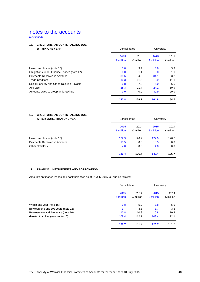(continued)

### **15. CREDITORS: AMOUNTS FALLING DUE**

| <b>WITHIN ONE YEAR</b>                     | Consolidated |           | University |           |
|--------------------------------------------|--------------|-----------|------------|-----------|
|                                            | 2015         | 2014      | 2015       | 2014      |
|                                            | £ million    | £ million | £ million  | £ million |
| Unsecured Loans (note 17)                  | 3.8          | 3.9       | 3.8        | 3.9       |
| Obligations under Finance Leases (note 17) | 0.0          | 1.1       | 0.0        | 1.1       |
| Payments Received in Advance               | 85.6         | 84.6      | 84.1       | 83.2      |
| <b>Trade Creditors</b>                     | 16.3         | 11.5      | 15.9       | 11.1      |
| Social Security and Other Taxation Payable | 6.8          | 7.2       | 6.0        | 6.5       |
| Accruals                                   | 25.3         | 21.4      | 24.1       | 19.9      |
| Amounts owed to group undertakings         | 0.0          | 0.0       | 30.9       | 29.0      |
|                                            | 137.8        | 129.7     | 164.8      | 154.7     |

### **16. CREDITORS: AMOUNTS FALLING DUE AFTER MORE THAN ONE YEAR** Consolidated University

| AFIER WURE INAN UNE TEAR     | Consolidated      |                   | UNIVERSITY        |                   |
|------------------------------|-------------------|-------------------|-------------------|-------------------|
|                              | 2015<br>£ million | 2014<br>£ million | 2015<br>£ million | 2014<br>£ million |
| Unsecured Loans (note 17)    | 122.9             | 126.7             | 122.9             | 126.7             |
| Payments Received in Advance | 13.5              | 0.0               | 13.5              | 0.0               |
| <b>Other Creditors</b>       | 4.0               | 0.0               | 4.0               | 0.0               |
|                              | 140.4             | 126.7             | 140.4             | 126.7             |

### **17. FINANCIAL INSTRUMENTS AND BORROWINGS**

Amounts on finance leases and bank balances as at 31 July 2015 fall due as follows:

|                                      | Consolidated      |                   | University        |                   |
|--------------------------------------|-------------------|-------------------|-------------------|-------------------|
|                                      | 2015<br>£ million | 2014<br>£ million | 2015<br>£ million | 2014<br>£ million |
| Within one year (note 15)            | 3.8               | 5.0               | 3.8               | 5.0               |
| Between one and two years (note 16)  | 3.7               | 3.8               | 3.7               | 3.8               |
| Between two and five years (note 16) | 10.8              | 10.8              | 10.8              | 10.8              |
| Greater than five years (note 16)    | 108.4             | 112.1             | 108.4             | 112.1             |
|                                      | 126.7             | 131.7             | 126.7             | 131.7             |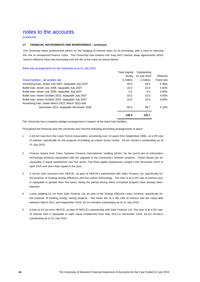(continued)

### **17. FINANCIAL INSTRUMENTS AND BORROWINGS - continued**

The University takes professional advice on the hedging of interest rates on its borrowing, with a view to reducing the risk of unexpected finance costs. The University has entered into long term interest swap agreements which result in effective fixed rate borrowing over the life of the loans as shown below.

### Bank loan arrangements for the University as at 31 July 2015:

|                                                       | Total original | Outstanding  |            |
|-------------------------------------------------------|----------------|--------------|------------|
|                                                       | facility       | 31 July 2015 | Effective  |
| Drawn facilities - all variable rate                  | £ million      | £ million    | Fixed rate |
| Amortising Ioan, drawn July 2007, repayable July 2037 | 40.0           | 29.0         | 5.38%      |
| Bullet Ioan, drawn July 2008, repayable July 2037     | 10.0           | 10.0         | 4.83%      |
| Bullet Ioan, drawn July 2009, repayable July 2037     | 5.0            | 5.0          | 4.93%      |
| Bullet Ioan, drawn October 2010, repayable July 2037  | 15.0           | 15.0         | 4.93%      |
| Bullet Ioan, drawn October 2010, repayable July 2037  | 10.0           | 10.0         | 4.85%      |
| Amortising Ioan, drawn March 2012, March 2013 and     |                |              |            |
| December 2013, repayable December 2040                | 60.0           | 56.7         | 5.19%      |
|                                                       | 140.0          | 125.7        |            |

The University has a negative pledge arrangement in respect of the bank loan facilities.

Throughout the financial year the University also had the following borrowing arrangements in place:

- 1. A £0.4m loan from the Lawn Tennis Association, amortising over 13 years from September 2008, at a 0% rate of interest, specifically for the purpose of building an indoor tennis centre. £0.2m remain s outstanding as at 31 July 2015.
- 2. Finance leases from Cisco Systems Finance International, totalling £8.0m, for the purch ase of information technology products associated with the upgrade of the University's network systems. These leases are all repayable in equal instalments over five years. The final capital repayments ranged f rom December 2014 to April 2015 and been fully repaid in the year.
- 3. A £0.5m loan received from HEFCE, as part of HEFCE's partnership with Salix Finance Ltd, specifically for the purpose of funding energy efficiency and low carbon technology. The loan is at a 0% rate of interest and is repayable in greater than five years, being the period during which compliant projects have already been planned.
- 4. Loans totalling £1.1m from Salix Finance Ltd, as part of the Energy Efficient Loans Scheme, specifically for the purpose of funding energy saving projects. The loans are at a 0% rate of interest and are repay able between March 2011 and September 2016. £0.1m remains outstanding as at 31 July 2015.
- 5. A loan of £0.4m from HEFCE, as part of HEFCE's partnership with Salix Finance Ltd. This loan is at a 0% rate of interest and is repayable in eight equal instalments from May 2013 to November 2016. £0.2m remain s outstanding as at 31 July 2015.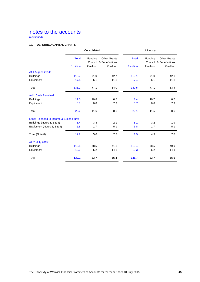(continued)

### **18. DEFERRED CAPITAL GRANTS**

|                                         |              | Consolidated |                                               | University   |           |                                               |
|-----------------------------------------|--------------|--------------|-----------------------------------------------|--------------|-----------|-----------------------------------------------|
|                                         | <b>Total</b> | Funding      | <b>Other Grants</b><br>Council & Benefactions | <b>Total</b> | Funding   | <b>Other Grants</b><br>Council & Benefactions |
|                                         | £ million    | £ million    | £ million                                     | £ million    | £ million | £ million                                     |
| At 1 August 2014:                       |              |              |                                               |              |           |                                               |
| <b>Buildings</b>                        | 113.7        | 71.0         | 42.7                                          | 113.1        | 71.0      | 42.1                                          |
| Equipment                               | 17.4         | 6.1          | 11.3                                          | 17.4         | 6.1       | 11.3                                          |
| Total                                   | 131.1        | 77.1         | 54.0                                          | 130.5        | 77.1      | 53.4                                          |
| Add: Cash Received:                     |              |              |                                               |              |           |                                               |
| <b>Buildings</b>                        | 11.5         | 10.8         | 0.7                                           | 11.4         | 10.7      | 0.7                                           |
| Equipment                               | 8.7          | 0.8          | 7.9                                           | 8.7          | 0.8       | 7.9                                           |
| Total                                   | 20.2         | 11.6         | 8.6                                           | 20.1         | 11.5      | 8.6                                           |
| Less: Released to Income & Expenditure: |              |              |                                               |              |           |                                               |
| Buildings (Notes 1, 3 & 4)              | 5.4          | 3.3          | 2.1                                           | 5.1          | 3.2       | 1.9                                           |
| Equipment (Notes 1, 3 & 4)              | 6.8          | 1.7          | 5.1                                           | 6.8          | 1.7       | 5.1                                           |
| Total (Note 8)                          | 12.2         | 5.0          | 7.2                                           | 11.9         | 4.9       | 7.0                                           |
| At 31 July 2015:                        |              |              |                                               |              |           |                                               |
| <b>Buildings</b>                        | 119.8        | 78.5         | 41.3                                          | 119.4        | 78.5      | 40.9                                          |
| Equipment                               | 19.3         | 5.2          | 14.1                                          | 19.3         | 5.2       | 14.1                                          |
| Total                                   | 139.1        | 83.7         | 55.4                                          | 138.7        | 83.7      | 55.0                                          |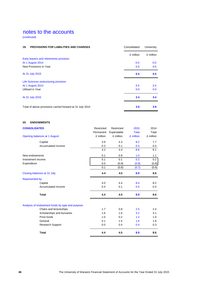(continued)

| <b>PROVISIONS FOR LIABILITIES AND CHARGES</b><br>19.      | Consolidated | University |
|-----------------------------------------------------------|--------------|------------|
|                                                           | £ million    | £ million  |
| Early leavers and retirements provision                   |              |            |
| At 1 August 2014                                          | 0.0          | 0.0        |
| New Provisions in Year                                    | 0.5          | 0.5        |
| At 31 July 2015                                           | 0.5          | 0.5        |
| Life Sciences restructuring provision                     |              |            |
| At 1 August 2014                                          | 3.4          | 3.4        |
| Utilised in Year                                          | 0.0          | 0.0        |
| At 31 July 2015                                           | 3.4          | 3.4        |
| Total of above provisions carried forward at 31 July 2015 | 3.9          | 3.9        |

### **20. ENDOWMENTS**

| <b>CONSOLIDATED</b>                             | Restricted | Restricted | 2015         | 2014      |
|-------------------------------------------------|------------|------------|--------------|-----------|
|                                                 | Permanent  | Expendable | <b>Total</b> | Total     |
| Opening balances at 1 August                    | £ million  | £ million  | £ million    | £ million |
| Capital                                         | 3.9        | 4.3        | 8.2          | 7.7       |
| Accumulated Income                              | 0.3        | 0.1        | 0.4          | 0.4       |
|                                                 | 4.2        | 4.4        | 8.6          | 8.1       |
| New endowments                                  | 0.1        | 0.9        | 1.0          | 1.1       |
| Investment Income                               | 0.1        | 0.1        | 0.2          | 0.2       |
| Expenditure                                     | 0.0        | (0.9)      | (0.9)        | (0.8)     |
|                                                 | 0.1        | (0.8)      | (0.7)        | (0.6)     |
| Closing balances at 31 July                     | 4.4        | 4.5        | 8.9          | 8.6       |
| Represented by:                                 |            |            |              |           |
| Capital                                         | 4.0        | 4.4        | 8.4          | 8.2       |
| Accumulated Income                              | 0.4        | 0.1        | 0.5          | 0.4       |
| <b>Total</b>                                    | 4.4        | 4.5        | 8.9          | 8.6       |
| Analysis of endowment funds by type and purpose |            |            |              |           |
| Chairs and lectureships                         | 1.7        | 0.8        | 2.5          | 2.4       |
| Scholarships and bursaries                      | 1.6        | 1.6        | 3.2          | 3.1       |
| Prize funds                                     | 1.0        | 0.2        | 1.2          | 1.0       |
| General                                         | 0.1        | 1.5        | 1.6          | 1.8       |
| <b>Research Support</b>                         | 0.0        | 0.4        | 0.4          | 0.3       |
| <b>Total</b>                                    | 4.4        | 4.5        | 8.9          | 8.6       |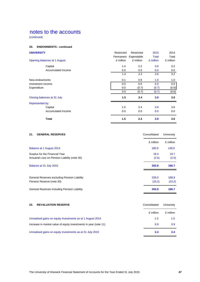(continued)

### **20. ENDOWMENTS - continued**

| <b>UNIVERSITY</b>            | Restricted | Restricted | 2015         | 2014      |
|------------------------------|------------|------------|--------------|-----------|
|                              | Permanent  | Expendable | <b>Total</b> | Total     |
| Opening balances at 1 August | £ million  | £ million  | £ million    | £ million |
| Capital                      | 1.4        | 2.2        | 3.6          | 3.2       |
| Accumulated Income           | 0.0        | 0.0        | 0.0          | 0.0       |
|                              | 1.4        | 2.2        | 3.6          | 3.2       |
| New endowments               | 0.1        | 0.9        | 1.0          | 1.0       |
| Investment Income            | 0.0        | 0.0        | 0.0          | $0.0\,$   |
| Expenditure                  | 0.0        | (0.7)      | (0.7)        | (0.6)     |
|                              | 0.0        | (0.7)      | (0.7)        | (0.6)     |
| Closing balances at 31 July  | 1.5        | 2.4        | 3.9          | 3.6       |
| Represented by:              |            |            |              |           |
| Capital                      | 1.5        | 2.4        | 3.9          | 3.6       |
| Accumulated Income           | 0.0        | 0.0        | 0.0          | 0.0       |
| <b>Total</b>                 | 1.5        | 2.4        | 3.9          | 3.6       |

| <b>GENERAL RESERVES</b><br>21.                                                  | Consolidated    | University      |
|---------------------------------------------------------------------------------|-----------------|-----------------|
|                                                                                 | £ million       | £ million       |
| Balance at 1 August 2014                                                        | 185.9           | 149.5           |
| Surplus for the Financial Year<br>Actuarial Loss on Pension Liability (note 30) | 19.4<br>(2.5)   | 19.7<br>(2.5)   |
| Balance at 31 July 2015                                                         | 202.8           | 166.7           |
| General Reserves excluding Pension Liability<br>Pension Reserve (note 30)       | 226.0<br>(23.2) | 189.9<br>(23.2) |
| General Reserves including Pension Liability                                    | 202.8           | 166.7           |

| 22.<br><b>REVALUATION RESERVE</b>                                | Consolidated | University |
|------------------------------------------------------------------|--------------|------------|
|                                                                  | £ million    | £ million  |
| Unrealised gains on equity investments as at 1 August 2014       | 1.5          | 1.5        |
| Increase in market value of equity investments in year (note 11) | 0.9          | 0.9        |
| Unrealised gains on equity investments as at 31 July 2015        | 2.4          | 2.4        |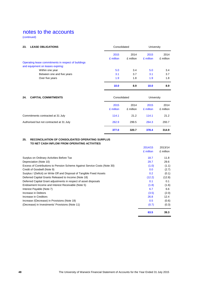(continued)

| <b>LEASE OBLIGATIONS</b><br>23.                                                          | Consolidated      |                   | University        |                   |
|------------------------------------------------------------------------------------------|-------------------|-------------------|-------------------|-------------------|
|                                                                                          | 2015<br>£ million | 2014<br>£ million | 2015<br>£ million | 2014<br>£ million |
| Operating lease commitments in respect of buildings<br>and equipment on leases expiring: |                   |                   |                   |                   |
| Within one year                                                                          | 5.0               | 3.4               | 5.0               | 3.4               |
| Between one and five years                                                               | 3.1               | 3.7               | 3.1               | 3.7               |
| Over five years                                                                          | 1.9               | 1.8               | 1.9               | 1.8               |
|                                                                                          | 10.0              | 8.9               | 10.0              | 8.9               |
| <b>CAPITAL COMMITMENTS</b><br>24.                                                        | Consolidated      |                   | <b>University</b> |                   |
|                                                                                          | 2015<br>£ million | 2014<br>£ million | 2015<br>£ million | 2014<br>£ million |
| Commitments contracted at 31 July                                                        | 114.1             | 21.2              | 114.1             | 21.2              |
| Authorised but not contracted at 31 July                                                 | 262.9             | 299.5             | 264.3             | 293.7             |
|                                                                                          | 377.0             | 320.7             | 378.4             | 314.9             |

### **25. RECONCILIATION OF CONSOLIDATED OPERATING SURPLUS TO NET CASH INFLOW FROM OPERATING ACTIVITIES**

|                                                                           | 2014/15   | 2013/14   |
|---------------------------------------------------------------------------|-----------|-----------|
|                                                                           | £ million | £ million |
| Surplus on Ordinary Activities Before Tax                                 | 18.7      | 11.8      |
| Depreciation (Note 10)                                                    | 29.7      | 29.6      |
| Excess of Contributions to Pension Scheme Against Service Costs (Note 30) | (1.0)     | (1.1)     |
| Credit of Goodwill (Note 9)                                               | 0.0       | (2.7)     |
| Surplus / (Deficit) on Write Off and Disposal of Tangible Fixed Assets    | 0.2       | (0.1)     |
| Deferred Capital Grants Released to Income (Note 18)                      | (12.2)    | (12.8)    |
| Deferred Capital Grant adjustments in respect of asset disposals          | 0.1       | 0.1       |
| Endowment Income and Interest Receivable (Note 5)                         | (1.8)     | (1.6)     |
| Interest Payable (Note 7)                                                 | 6.7       | 6.6       |
| Increase in Debtors                                                       | (3.5)     | (2.0)     |
| Increase in Creditors                                                     | 26.8      | 12.4      |
| Increase /(Decrease) in Provisions (Note 19)                              | 0.5       | (0.6)     |
| (Decrease) in Investments' Provisions (Note 11)                           | (0.7)     | (0.3)     |
|                                                                           | 63.5      | 39.3      |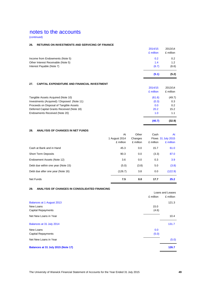(continued)

### **26. RETURNS ON INVESTMENTS AND SERVICING OF FINANCE**

| Interest Payable (Note 7)          | (6.7)                | (6.6)                |
|------------------------------------|----------------------|----------------------|
| Other Interest Receivable (Note 5) | 1.4                  | 1.2                  |
| Income from Endowments (Note 5)    | 0.2                  | 0.2                  |
|                                    | 2014/15<br>£ million | 2013/14<br>£ million |

### **27. CAPITAL EXPENDITURE AND FINANCIAL INVESTMENT**

| Deferred Capital Grants Received (Note 18)  | 20.2                 | 15.2                 |
|---------------------------------------------|----------------------|----------------------|
| Endowments Received (Note 20)               | 1.0                  | 1.1                  |
| Investments (Acquired) / Disposed (Note 11) | (0.3)                | 0.3                  |
| Proceeds on Disposal of Tangible Assets     | 0.0                  | 0.2                  |
| Tangible Assets Acquired (Note 10)          | (61.6)               | (49.7)               |
|                                             | 2014/15<br>£ million | 2013/14<br>£ million |

### **28. ANALYSIS OF CHANGES IN NET FUNDS**

| 20.<br>ANALI JIU UI GHANGLU IN NLI I UNDJ |               |           |           |                           |
|-------------------------------------------|---------------|-----------|-----------|---------------------------|
|                                           | At            | Other     | Cash      | At                        |
|                                           | 1 August 2014 | Changes   |           | <b>Flows 31 July 2015</b> |
|                                           | £ million     | £ million | £ million | £ million                 |
| Cash at Bank and in Hand                  | 45.3          | 0.0       | 15.7      | 61.0                      |
| <b>Short Term Deposits</b>                | 90.3          | 0.0       | (3.3)     | 87.0                      |
| Endowment Assets (Note 12)                | 3.6           | 0.0       | 0.3       | 3.9                       |
| Debt due within one year (Note 15)        | (5.0)         | (3.8)     | 5.0       | (3.8)                     |
| Debt due after one year (Note 16)         | (126.7)       | 3.8       | 0.0       | (122.9)                   |
| Net Funds                                 | 7.5           | 0.0       | 17.7      | 25.2                      |

### **29. ANALYSIS OF CHANGES IN CONSOLIDATED FINANCING**

|                                    |           | Loans and Leases |
|------------------------------------|-----------|------------------|
|                                    | £ million | £ million        |
| Balances at 1 August 2013          |           | 121.3            |
| New Loans                          | 15.0      |                  |
| <b>Capital Repayments</b>          | (4.6)     |                  |
| Net New Loans in Year              |           | 10.4             |
| Balances at 31 July 2014           |           | 131.7            |
| New Loans                          | 0.0       |                  |
| <b>Capital Repayments</b>          | (5.0)     |                  |
| Net New Loans in Year              |           | (5.0)            |
| Balances at 31 July 2015 (Note 17) |           | 126.7            |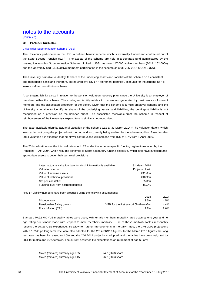(continued)

### **30. PENSION SCHEMES**

### Universities Superannuation Scheme (USS)

The University participates in the USS, a defined benefit scheme which is externally funded and contracted out of the State Second Pension (S2P). The assets of the scheme are held in a separate fund administered by the trustee, Universities Superannuation Scheme Limited. USS has over 147,000 active members (2014: 162,000+) and the University had 3,535 active members participating in the scheme as at 31 July 2015 (2014: 3,376).

The University is unable to identify its share of the underlying assets and liabilities of the scheme on a consistent and reasonable basis and therefore, as required by FRS 17 "Retirement benefits", accounts for the scheme as if it were a defined contribution scheme.

A contingent liability exists in relation to the pension valuation recovery plan, since the University is an employer of members within the scheme. The contingent liability relates to the amount generated by past service of current members and the associated proportion of the deficit. Given that the scheme is a multi-employer scheme and the University is unable to identify its share of the underlying assets and liabilities, the contingent liability is not recognised as a provision on the balance sheet. The associated receivable from the scheme in respect of reimbursement of the University's expenditure is similarly not recognised.

The latest available triennial actuarial valuation of the scheme was at 31 March 2014 ("The valuation date"), which was carried out using the projected unit method and is currently being audited by the scheme auditor. Based on this 2014 valuation it is expected that employer contributions will increase from16% to 18% from 1 April 2016.

The 2014 valuation was the third valuation for USS under the scheme‐specific funding regime introduced by the Pensions Act 2004, which requires schemes to adopt a statutory funding objective, which is to have sufficient and appropriate assets to cover their technical provisions.

| Latest actuarial valuation date for which information is available | 31 March 2014         |
|--------------------------------------------------------------------|-----------------------|
| Valuation method                                                   | <b>Projected Unit</b> |
| Value of scheme assets                                             | £41.6bn               |
| Value of technical provisions                                      | £46.9bn               |
| Net pension deficit                                                | £5.3bn                |
| Funding level from accrued benefits                                | 89.0%                 |

FRS 17 Liability numbers have been produced using the following assumptions:

|                           | 2015                                     | 2014    |
|---------------------------|------------------------------------------|---------|
| Discount rate             | 3.3%                                     | $4.5\%$ |
| Pensionable Salary growth | 3.5% for the first year, 4.0% thereafter | 4.4%    |
| Price inflation (CPI)     | 2.2%                                     | 2.6%    |

Standard PA92 MC YoB mortality tables were used, with female members' mortality rated down by one year and no age rating adjustment made with respect to male members' mortality. Use of these mortality tables reasonably reflects the actual USS experience. To allow for further improvements in mortality rates, the CMI 2009 projections with a 1.25% pa long term rate were also adopted for the 2014 FRS17 figures, for the March 2015 figures the long term rate has been increased to 1.5% and the CMI 2014 projections adopted, and the tables have been weighted by 98% for males and 99% females. The current assumed life expectations on retirement at age 65 are:

| Males (females) currently aged 65: | 24.2 (26.3) years |
|------------------------------------|-------------------|
| Males (females) currently aged 45: | 26.2 (28.6) years |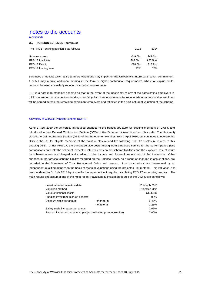(continued)

### **30. PENSION SCHEMES - continued**

| The FRS 17 exsiting position is as follows: | 2015    | 2014    |
|---------------------------------------------|---------|---------|
| Scheme assets                               | £49.0bn | £41.6bn |
| <b>FRS 17 Liabilities</b>                   | £67.6bn | £55.5bn |
| FRS 17 Deficit                              | £18.6bn | £13.9bn |
| FRS 17 funding level                        | 72%     | 75%     |

Surpluses or deficits which arise at future valuations may impact on the University's future contribution commitment. A deficit may require additional funding in the form of higher contribution requirements, where a surplus could, perhaps, be used to similarly reduce contribution requirements.

USS is a "last man standing" scheme so that in the event of the insolvency of any of the participating employers in USS, the amount of any pension funding shortfall (which cannot otherwise be recovered) in respect of that employer will be spread across the remaining participant employers and reflected in the next actuarial valuation of the scheme.

### University of Warwick Pension Scheme (UWPS)

As of 1 April 2010 the University introduced changes to the benefit structure for existing members of UWPS and introduced a new Defined Contribution Section (DCS) to the Scheme for new hires from this date. The University closed the Defined Benefit Section (DBS) of the Scheme to new hires from 1 April 2010, but continues to operate this DBS in the UK for eligible members at the point of closure and the following FRS 17 disclosure relates to this ongoing DBS. Under FRS 17, the current service costs arising from employee service for the current period (less contributions paid into the scheme), expected interest costs on the scheme liabilities and the expected rate of return on scheme assets are charged and credited to the Income and Expenditure Account of the University. Other changes in the forecast scheme liability recorded on the Balance Sheet, as a result of changes in assumptions, are recorded in the Statement of Total Recognised Gains and Losses. T he contributions are determined by an independent qualified actuary on the basis of triennial valuations using the projected unit method. This valuation has been updated to 31 July 2015 by a qualified independent actuary, for calculating FRS 17 accounting entries. The main results and assumptions of the most recently available full valuation figures of the UWPS are as follows:

| Latest actuarial valuation date     |                                                                   | 31 March 2013         |
|-------------------------------------|-------------------------------------------------------------------|-----------------------|
| Valuation method                    |                                                                   | <b>Projected Unit</b> |
| Value of notional assets            |                                                                   | £141.6m               |
| Funding level from accrued benefits |                                                                   | 93%                   |
| Discount rates per annum            | - short term                                                      | 5.45%                 |
|                                     | - long term                                                       | 3.25%                 |
| Salary scale increases per annum    |                                                                   | 3.65%                 |
|                                     | Pension increases per annum (subject to limited price indexation) | 3.00%                 |
|                                     |                                                                   |                       |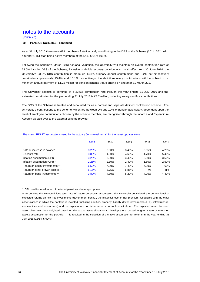### (continued)

### **30. PENSION SCHEMES - continued**

As at 31 July 2015 there were 679 members of staff actively contributing to the DBS of the Scheme (2014: 761), with a further 1,151 staff being active members of the DCS (2014: 1092).

Following the Scheme's March 2013 actuarial valuation, the University will maintain an overall contribution rate of 23.5% into the DBS of the Scheme, inclusive of deficit recovery contributions. With effect from 30 June 2014, the University's 23.5% DBS contribution is made up 14.3% ordinary annual contributions and 9.2% defi cit recovery contributions (previously 13.4% and 10.1% respectively); the deficit recovery contributions will be subject to a minimum annual payment of £1.25 million for pension scheme years ending on and after 31 March 2017.

The University expects to continue at a 23.5% contribution rate through the year ending 31 July 2016 and the estimated contribution for the year ending 31 July 2016 is £3.7 million, including salary sacrifice contributions.

The DCS of the Scheme is treated and accounted for as a norm al and separate defined contribution scheme. The University's contributions to the scheme, which are between 2% and 10% of pensionable salary, dependent upon the level of employee contributions chosen by the scheme member, are recognised through the Incom e and Expenditure Account as paid over to the external scheme provider.

|                                  | 2015  | 2014  | 2013  | 2012  | 2011  |
|----------------------------------|-------|-------|-------|-------|-------|
| Rate of increase in salaries     |       |       |       |       |       |
|                                  | 3.25% | 3.30% | 3.40% | 3.55% | 4.25% |
| Discount rate                    | 3.80% | 4.30% | 4.60% | 4.70% | 5.40% |
| Inflation assumption (RPI)       | 3.25% | 3.30% | 3.40% | 2.80% | 3.50% |
| Inflation assumption (CPI) *     | 2.25% | 2.30% | 2.40% | 1.80% | 2.50% |
| Return on equity investments **  | 6.50% | 7.30% | 7.40% | 7.30% | 7.60% |
| Return on other growth assets ** | 5.15% | 5.75% | 5.85% | n/a   | n/a   |
| Return on bond investments **    | 3.80% | 4.30% | 5.20% | 4.00% | 4.40% |

#### The major FRS 17 assumptions used by the actuary (in nominal terms) for the latest updates were:

\* CPI used for revaluation of deferred pensions where appropriate.

\*\* to develop the expected long-term rate of return on assets assumption, the University considered the current level of expected returns on risk free investments (government bonds), the historical level of risk premium associated with the other asset classes in which the portfolio is invested (including equities, property, liability driven investments (LDI), infrastructure, commodities and reinsurance) and the expectations for future returns on each asset class. The expected return for each asset class was then weighted based on the actual asset allocation to develop the expected long-term rate of return on assets assumption for the portfolio. This resulted in the selection of a 5.41% assumption for returns in the year ending 31 July 2015 (13/14: 5.92%).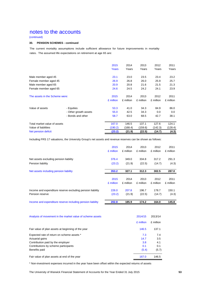(continued)

### **30. PENSION SCHEMES - continued**

The current mortality assumptions include sufficient allowance for future improvements in mortality rates. The assumed life expectations on retirement at age 65 are:

|                                |                       | 2015<br>Years | 2014<br>Years | 2013<br>Years | 2012<br>Years | 2011<br>Years |
|--------------------------------|-----------------------|---------------|---------------|---------------|---------------|---------------|
| Male member aged 45            |                       | 23.1          | 23.0          | 23.5          | 23.4          | 23.2          |
| Female member aged 45          |                       | 26.9          | 26.8          | 26.0          | 25.9          | 25.7          |
| Male member aged 65            |                       | 20.9          | 20.8          | 21.6          | 21.5          | 21.3          |
| Female member aged 65          |                       | 24.6          | 24.5          | 24.2          | 24.1          | 23.9          |
| The assets in the Scheme were: |                       | 2015          | 2014          | 2013          | 2012          | 2011          |
|                                |                       | £ million     | £ million     | £ million     | £ million     | £ million     |
| Value of assets                | - Equities            | 53.3          | 41.0          | 34.3          | 84.9          | 86.0          |
|                                | - Other growth assets | 55.0          | 42.5          | 34.3          | 0.0           | 0.0           |
|                                | - Bonds and other     | 58.7          | 63.0          | 68.5          | 42.7          | 38.1          |
| Total market value of assets   |                       | 167.0         | 146.5         | 137.1         | 127.6         | 124.1         |
| Value of liabilities           |                       | (190.2)       | (168.4)       | (159.6)       | (142.3)       | (128.4)       |
| Net pension deficit            |                       | (23.2)        | (21.9)        | (22.5)        | (14.7)        | (4.3)         |

Including FRS 17 valuations, the University Group's net assets and revenue reserves can be shown as follows:

|                                                            | 2015      | 2014      | 2013      | 2012      | 2011      |
|------------------------------------------------------------|-----------|-----------|-----------|-----------|-----------|
|                                                            | £ million | £ million | £ million | £ million | £ million |
| Net assets excluding pension liability                     | 376.4     | 349.0     | 334.8     | 317.2     | 291.3     |
| Pension liability                                          | (23.2)    | (21.9)    | (22.5)    | (14.7)    | (4.3)     |
| Net assets including pension liability                     | 353.2     | 327.1     | 312.3     | 302.5     | 287.0     |
|                                                            | 2015      | 2014      | 2013      | 2012      | 2011      |
|                                                            | £ million | £ million | £ million | £ million | £ million |
| Income and expenditure reserve excluding pension liability | 226.0     | 207.8     | 196.7     | 178.7     | 150.1     |
| Pension reserve                                            | (23.2)    | (21.9)    | (22.5)    | (14.7)    | (4.3)     |
| Income and expenditure reserve including pension liability | 202.8     | 185.9     | 174.2     | 164.0     | 145.8     |
|                                                            |           |           |           |           |           |

| Analysis of movement in the market value of scheme assets | 2014/15   | 2013/14   |
|-----------------------------------------------------------|-----------|-----------|
|                                                           | £ million | £ million |
| Fair value of plan assets at beginning of the year        | 146.5     | 137.1     |
| Expected rate of return on scheme assets *                | 7.3       | 7.4       |
| Actuarial gains                                           | 14.7      | 3.5       |
| Contribution paid by the employer                         | 3.8       | 4.1       |
| Contributions by scheme participants                      | 0.1       | 0.1       |
| Benefits paid                                             | (5.4)     | (5.7)     |
| Fair value of plan assets at end of the year              | 167.0     | 146.5     |

\* Non-investment expenses incurred in the year have been offset within the expected returns of assets

The University of Warwick Financial Statement of Accounts for the Year Ended 31 July 2015 **53**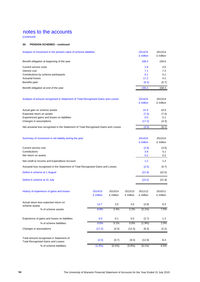(continued)

### **30. PENSION SCHEMES - continued**

| Analysis of movement in the present value of scheme liabilities                     |           |           |           | 2014/15<br>£ million | 2013/14<br>£ million |
|-------------------------------------------------------------------------------------|-----------|-----------|-----------|----------------------|----------------------|
| Benefit obligation at beginning of the year                                         |           |           |           | 168.4                | 159.6                |
| Current service costs                                                               |           |           |           | 2.8                  | 3.0                  |
| Interest cost                                                                       |           |           |           | 7.1                  | 7.2                  |
| Contributions by scheme participants                                                |           |           |           | 0.1                  | 0.1                  |
| <b>Actuarial losses</b>                                                             |           |           |           | 17.2                 | 4.2                  |
| Benefits paid                                                                       |           |           |           | (5.4)                | (5.7)                |
| Benefit obligation at end of the year                                               |           |           |           | 190.2                | 168.4                |
| Analysis of amount recognised in Statement of Total Recognised Gains and Losses     |           |           |           | 2014/15<br>£ million | 2013/14<br>£ million |
|                                                                                     |           |           |           |                      |                      |
| Actual gain on scheme assets                                                        |           |           |           | 22.0                 | 10.9                 |
| Expected return on assets                                                           |           |           |           | (7.3)                | (7.4)                |
| Experienced gains and losses on liabilities                                         |           |           |           | 0.0                  | 0.1                  |
| Changes in assumptions                                                              |           |           |           | (17.2)               | (4.3)                |
| Net actuarial loss recognised in the Statement of Total Recognised Gains and Losses |           |           |           | (2.5)                | (0.7)                |
| Summary of movement in net liability during the year                                |           |           |           | 2014/15              | 2013/14              |
|                                                                                     |           |           |           | £ million            | £ million            |
| Current service cost                                                                |           |           |           | (2.8)                | (3.0)                |
| Contributions                                                                       |           |           |           | 3.8                  | 4.1                  |
| Net return on assets                                                                |           |           |           | 0.2                  | 0.2                  |
| Net credit to Income and Expenditure Account                                        |           |           |           | 1.2                  | 1.3                  |
| Actuarial loss recognised in the Statement of Total Recognised Gains and Losses     |           |           |           | (2.5)                | (0.7)                |
| Deficit in scheme at 1 August                                                       |           |           |           | (21.9)               | (22.5)               |
| Deficit in scheme at 31 July                                                        |           |           |           | (23.2)               | (21.9)               |
| History of experience of gains and losses                                           | 2014/15   | 2013/14   | 2012/13   | 2011/12              | 2010/11              |
|                                                                                     | £ million | £ million | £ million | £ million            | £ million            |
| Actual return less expected return on<br>scheme assets                              | 14.7      | 3.5       | $3.0\,$   | (3.9)                | 9.3                  |
| % of scheme assets:                                                                 | 8.8%      | 2.4%      | 2.2%      | $(3.1\%)$            | 7.5%                 |
|                                                                                     |           |           |           |                      |                      |
| Experience of gains and losses on liabilities                                       | 0.0       | 0.1       | 0.0       | (2.7)                | 1.3                  |
| % of scheme liabilities:                                                            | 0.0%      | 0.1%      | 0.0%      | (1.9%)               | 1.0%                 |
| Changes in assumptions                                                              | (17.2)    | (4.3)     | (12.3)    | (6.3)                | (2.2)                |
| Total amount recognised in Statement of<br><b>Total Recognised Gains and Losses</b> | (2.5)     | (0.7)     | (9.3)     | (12.9)               | 8.4                  |
| % of scheme liabilities:                                                            | (1.3%)    | (0.4% )   | (5.8%)    | $(9.1\%)$            | 6.5%                 |
|                                                                                     |           |           |           |                      |                      |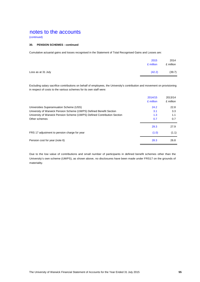(continued)

### **30. PENSION SCHEMES - continued**

Cumulative actuarial gains and losses recognised in the Statement of Total Recognised Gains and Losses are:

|                    | 2015<br>£ million | 2014<br>£ million |
|--------------------|-------------------|-------------------|
| Loss as at 31 July | (42.2)            | (39.7)            |

Excluding salary sacrifice contributions on behalf of employees, the University's contribution and movement on provisioning in respect of costs to the various schemes for its own staff were:

|                                                                          | 2014/15<br>£ million | 2013/14<br>£ million |
|--------------------------------------------------------------------------|----------------------|----------------------|
| Universities Superannuation Scheme (USS)                                 | 24.2                 | 22.8                 |
| University of Warwick Pension Scheme (UWPS) Defined Benefit Section      | 3.1                  | 3.3                  |
| University of Warwick Pension Scheme (UWPS) Defined Contribution Section | 1.3                  | 1.1                  |
| Other schemes                                                            | 0.7                  | 0.7                  |
|                                                                          | 29.3                 | 27.9                 |
| FRS 17 adjustment to pension charge for year                             | (1.0)                | (1.1)                |
| Pension cost for year (note 6)                                           | 28.3                 | 26.8                 |

Due to the low value of contributions and small number of participants in defined benefit schemes other than the University's own scheme (UWPS), as shown above, no disclosures have been made under FRS17 on the grounds of materiality.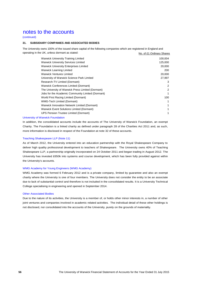### (continued)

### **31. SUBSIDIARY COMPANIES AND ASSOCIATED BODIES**

The University owns 100% of the issued share capital of the following companies which are registered in England and operating in the UK, unless dormant as stated: No. of £1 Ordinary Shares

| <b>Warwick University Training Limited</b>        | 100,004 |
|---------------------------------------------------|---------|
| <b>Warwick University Services Limited</b>        | 125,000 |
| <b>Warwick University Enterprises Limited</b>     | 20,000  |
| Warwick Learning Limited                          | 200     |
| <b>Warwick Ventures Limited</b>                   | 20,000  |
| University of Warwick Science Park Limited        | 27,997  |
| Research-TV Limited (Dormant)                     | 3       |
| Warwick Conferences Limited (Dormant)             | 2       |
| The University of Warwick Press Limited (Dormant) | 2       |
| Jobs for the Academic Community Limited (Dormant) |         |
| World First Racing Limited (Dormant)              | 100     |
| <b>WMG-Tech Limited (Dormant)</b>                 |         |
| Warwick Innovation Network Limited (Dormant)      |         |
| Warwick Event Solutions Limited (Dormant)         |         |
| UPS Pension Trustee Limited (Dormant)             |         |
|                                                   |         |

#### University of Warwick Foundation

In addition, the consolidated accounts include the accounts of The University of Warwick Foundation, an exempt Charity. The Foundation is a linked charity as defined under paragraph 28 of the Charities Act 2011 and, as such, more information is disclosed in respect of the Foundation at note 32 of these accounts.

### Teaching Shakespeare LLP (Note 11)

As of March 2012, the University entered into an education partnership with the Royal Shakespeare Company to deliver high quality professional development to teachers of Shakespeare. The University owns 40% of Teaching Shakespeare LLP, a partnership originally incorporated on 24 October 2011 and began trading in August 2012. The University has invested £650k into systems and course development, which has been fully provided against within the University's accounts.

### WMG Academy for Young Engineers (WMG Academy)

WMG Academy was formed 6 February 2012 and is a private company, limited by guarantee and also an exempt charity where the University is one of four members. The University does not consider the entity to be an associate due to lack of substantial control and therefore is not included in the consolidated results. It is a University Technical College specialising in engineering and opened in September 2014.

#### Other Associated Bodies

Due to the nature of its activities, the University is a member of, or holds other minor interests in, a number of other joint ventures and companies involved in academic related activities. The individual detail of these other holdings is not disclosed, nor consolidated into the accounts of the University, purely on the grounds of materiality.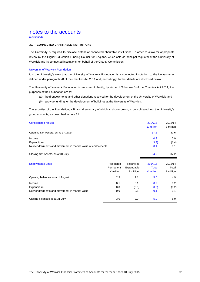(continued)

### **32. CONNECTED CHARITABLE INSTITUTIONS**

The University is required to disclose details of connected charitable institutions , in order to allow for appropriate review by the Higher Education Funding Council for England, which acts as principal regulator of the University of Warwick and its connected institutions, on behalf of the Charity Commission.

#### University of Warwick Foundation

It is the University's view that the University of Warwick Foundation is a connected institution to the University as defined under paragraph 28 of the Charities Act 2011 and, accordingly, further details are disclosed below.

The University of Warwick Foundation is an exempt charity, by virtue of Schedule 3 of the Charities Act 2011; the purposes of the Foundation are to:

- (a) hold endowments and other donations received for the development of the University of Warwick; and
- (b) provide funding for the development of buildings at the University of Warwick.

The activities of the Foundation, a financial summary of which is shown below, is consolidated into the University's group accounts, as described in note 31.

| <b>Consolidated results</b>                               |            |            | 2014/15<br>£ million | 2013/14<br>£ million |
|-----------------------------------------------------------|------------|------------|----------------------|----------------------|
| Opening Net Assets, as at 1 August                        |            |            | 37.2                 | 37.6                 |
| Income                                                    |            |            | 0.9                  | 0.9                  |
| Expenditure                                               |            |            | (3.3)                | (1.4)                |
| New endowments and movement in market value of endowments |            |            | 0.1                  | 0.1                  |
| Closing Net Assets, as at 31 July                         |            |            | 34.9                 | 37.2                 |
| <b>Endowment Funds</b>                                    | Restricted | Restricted | 2014/15              | 2013/14              |
|                                                           | Permanent  | Expendable | Total                | Total                |
|                                                           | £ million  | £ million  | £ million            | £ million            |
| Opening balances as at 1 August                           | 2.9        | 2.1        | 5.0                  | 4.9                  |
| Income                                                    | 0.1        | 0.1        | 0.2                  | 0.2                  |
| Expenditure                                               | 0.0        | (0.3)      | (0.3)                | (0.2)                |

New endowments and movement in market value 0.0 0.1 0.1 0.1 0.1 0.1 0.1

Closing balances as at 31 July 3.0 2.0 5.0 5.0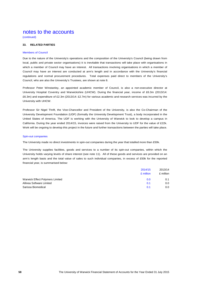(continued)

### **33. RELATED PARTIES**

#### Members of Council

Due to the nature of the University's operations and the composition of the University's Council (being drawn from local, public and private sector organisations) it is inevitable that transactions will take place with organisations in which a member of Council may have an interest. All transactions involving organisations in which a member of Council may have an interest are conducted at arm's length and in accordance with the University's financial regulations and normal procurement procedures. Total expenses paid direct to members of the University's Council, who are also the University's Trustees, are shown at note 8.

Professor Peter Winstanley, an appointed academic member of Council, is also a non-executive director at University Hospital Coventry and Warwickshire (UHCW). During the financial year, income of £6.3m (2013/14: £6.3m) and expenditure of £2.3m (2013/14: £2.7m) for various academic and research services was incurred by the University with UHCW.

Professor Sir Nigel Thrift, the Vice-Chancellor and President of the University, is also the Co-Chairman of the University Development Foundation (UDF) (formally the University Development Trust), a body incorporated in the United States of America. The UDF is working with the University of Warwick to look to develop a campus in California. During the year ended 2014/15, invoices were raised from the University to UDF for the value of £22k. Work will be ongoing to develop this project in the future and further transactions between the parties will take place.

#### Spin-out companies

The University made no direct investments in spin-out companies during the year that totalled more than £50k.

The University supplies facilities, goods and services to a number of its spin-out companies, within which the University holds varying levels of share interest (see note 11). All of these goods and services are provided on an arm's length basis and the total value of sales to such individual companies, in excess of £50k for the reported financial year, is summarised below:

|                                 | 2014/15   | 2013/14   |
|---------------------------------|-----------|-----------|
|                                 | £ million | £ million |
| Warwick Effect Polymers Limited | 0.0       | 0.1       |
| Allinea Software Limited        | 0.1       | 0.0       |
| Sarissa Biomedical              | 0.1       | 0.0       |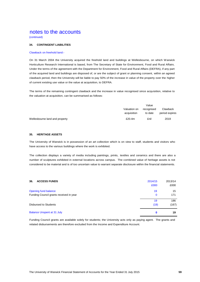(continued)

### **34. CONTINGENT LIABILITIES**

#### Clawback on freehold land:-

On 31 March 2004 the University acquired the freehold land and buildings at Wellesbourne, on which Warwick Horticulture Research International is based, from The Secretary of State for Environment, Food and Rural Affairs. Under the terms of the agreement with the Department for Environment, Food and Rural Affairs (DEFRA), if any part of the acquired land and buildings are disposed of, or are the subject of grant or planning consent, within an agreed clawback period, then the University will be liable to pay 50% of the increase in value of the property over the higher of current existing use value or the value at acquisition, to DEFRA.

The terms of the remaining contingent clawback and the increase in value recognised since acquisition, relative to the valuation at acquisition, can be summarised as follows:

|                                |                             | Value                 |                            |
|--------------------------------|-----------------------------|-----------------------|----------------------------|
|                                | Valuation on<br>acquisition | recognised<br>to date | Clawback<br>period expires |
| Wellesbourne land and property | £20.4m                      | £nil                  | 2019                       |

### **35. HERITAGE ASSETS**

The University of Warwick is in possession of an art collection which is on view to staff, students and visitors who have access to the various buildings where the work is exhibited.

The collection displays a variety of media including paintings, prints, textiles and ceramics and there are also a number of sculptures exhibited in external locations across campus. The combined value of heritage assets is not considered to be material and is of too uncertain value to warrant separate disclosure within the financial statements.

| <b>ACCESS FUNDS</b><br>36.              | 2014/15<br>£000 | 2013/14<br>£000 |
|-----------------------------------------|-----------------|-----------------|
| Opening fund balance                    | 19              | 15              |
| Funding Council grants received in year | 0               | 171             |
|                                         | 19              | 186             |
| Disbursed to Students                   | (19)            | (167)           |
| <b>Balance Unspent at 31 July</b>       | 0               | 19              |

Funding Council grants are available solely for students; the University acts only as paying agent. The grants and related disbursements are therefore excluded from the Income and Expenditure Account.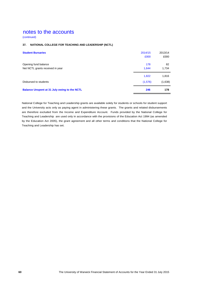(continued)

### **37. NATIONAL COLLEGE FOR TEACHING AND LEADERSHIP (NCTL)**

| <b>Student Bursaries</b>                     | 2014/15 | 2013/14 |
|----------------------------------------------|---------|---------|
|                                              | £000    | £000    |
| Opening fund balance                         | 178     | 82      |
| Net NCTL grants received in year             | 1,644   | 1,734   |
|                                              | 1,822   | 1,816   |
| Disbursed to students                        | (1,576) | (1,638) |
| Balance Unspent at 31 July owing to the NCTL | 246     | 178     |

National College for Teaching and Leadership grants are available solely for students or schools for student support and the University acts only as paying agent in administering these grants. The grants and related disbursements are therefore excluded from the Income and Expenditure Account. Funds provided by the National College for Teaching and Leadership are used only in accordance with the provisions of the Education Act 1994 (as amended by the Education Act 2005), the grant agreement and all other terms and conditions that the National College for Teaching and Leadership has set.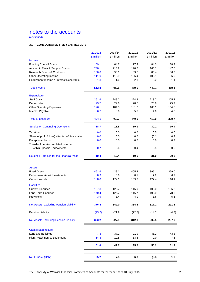(continued)

### **38. CONSOLIDATED FIVE YEAR RESULTS**

| 2014/15   | 2013/14                                                    | 2012/13                                                    | 2011/12                                                    | 2010/11                                                     |
|-----------|------------------------------------------------------------|------------------------------------------------------------|------------------------------------------------------------|-------------------------------------------------------------|
| £ million | £ million                                                  | £ million                                                  | £ million                                                  | £ million                                                   |
|           |                                                            |                                                            |                                                            |                                                             |
| 59.1      | 64.7                                                       | 77.4                                                       | 84.3                                                       | 88.2                                                        |
| 240.1     | 213.2                                                      | 190.0                                                      | 166.1                                                      | 147.5                                                       |
| 100.8     | 90.1                                                       | 83.7                                                       | 85.4                                                       | 86.3                                                        |
| 111.0     | 110.9                                                      | 106.4                                                      | 102.1                                                      | 96.0                                                        |
| 1.8       | 1.6                                                        | 2.1                                                        | $2.2\phantom{0}$                                           | 1.1                                                         |
| 512.8     | 480.5                                                      | 459.6                                                      | 440.1                                                      | 419.1                                                       |
|           |                                                            |                                                            |                                                            |                                                             |
| 261.6     | 248.2                                                      | 224.8                                                      | 213.7                                                      | 205.2                                                       |
| 29.7      | 29.6                                                       | 28.7                                                       | 26.6                                                       | 25.9                                                        |
| 196.1     | 184.3                                                      | 181.2                                                      | 165.1                                                      | 164.6                                                       |
| 6.7       | 6.6                                                        | 5.8                                                        | 4.6                                                        | 4.0                                                         |
| 494.1     | 468.7                                                      | 440.5                                                      | 410.0                                                      | 399.7                                                       |
| 18.7      | 11.8                                                       | 19.1                                                       | 30.1                                                       | 19.4                                                        |
|           |                                                            |                                                            |                                                            | 0.0                                                         |
|           |                                                            |                                                            |                                                            | 0.2                                                         |
|           |                                                            |                                                            |                                                            | 0.2                                                         |
|           |                                                            |                                                            |                                                            |                                                             |
| 0.7       | 0.6                                                        | 0.4                                                        | 0.5                                                        | 0.5                                                         |
| 19.4      | 12.4                                                       | 19.5                                                       | 31.0                                                       | 20.3                                                        |
|           |                                                            |                                                            |                                                            |                                                             |
|           |                                                            |                                                            |                                                            | 359.0                                                       |
|           |                                                            |                                                            |                                                            | 6.7                                                         |
|           |                                                            |                                                            |                                                            | 116.1                                                       |
|           |                                                            |                                                            |                                                            |                                                             |
|           |                                                            |                                                            |                                                            |                                                             |
| 137.8     | 129.7                                                      | 116.9                                                      | 108.0                                                      | 106.2                                                       |
| 140.4     | 126.7                                                      | 116.7                                                      | 100.9                                                      | 78.8                                                        |
| 3.9       | 3.4                                                        | 4.0                                                        | 3.6                                                        | 5.5                                                         |
| 376.4     | 349.0                                                      | 334.8                                                      | 317.2                                                      | 291.3                                                       |
| (23.2)    | (21.9)                                                     | (22.5)                                                     | (14.7)                                                     | (4.3)                                                       |
| 353.2     | 327.1                                                      | 312.3                                                      | 302.5                                                      | 287.0                                                       |
|           |                                                            |                                                            |                                                            |                                                             |
|           |                                                            |                                                            |                                                            |                                                             |
|           |                                                            |                                                            |                                                            | 43.8                                                        |
|           |                                                            |                                                            |                                                            | 7.5                                                         |
| 61.6      | 49.7                                                       | 35.5                                                       | 55.2                                                       | 51.3                                                        |
| 25.2      | 7.5                                                        | 6.3                                                        | (6.3)                                                      | 1.9                                                         |
|           | 0.0<br>0.0<br>0.0<br>461.6<br>8.9<br>188.0<br>47.3<br>14.3 | 0.0<br>0.0<br>0.0<br>428.1<br>8.6<br>172.1<br>37.2<br>12.5 | 0.0<br>0.0<br>0.0<br>405.3<br>8.1<br>159.0<br>21.9<br>13.6 | 0.5<br>(0.1)<br>0.0<br>395.1<br>7.2<br>127.4<br>46.2<br>9.0 |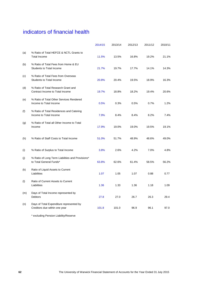# indicators of financial health

|     |                                                                             | 2014/15 | 2013/14 | 2012/13 | 2011/12 | 2010/11 |
|-----|-----------------------------------------------------------------------------|---------|---------|---------|---------|---------|
| (a) | % Ratio of Total HEFCE & NCTL Grants to<br><b>Total Income</b>              | 11.5%   | 13.5%   | 16.8%   | 19.2%   | 21.1%   |
| (b) | % Ratio of Total Fees from Home & EU<br><b>Students to Total Income</b>     | 21.7%   | 19.7%   | 17.7%   | 14.1%   | 14.3%   |
| (c) | % Ratio of Total Fees from Overseas<br><b>Students to Total Income</b>      | 20.8%   | 20.4%   | 19.5%   | 18.9%   | 16.3%   |
| (d) | % Ratio of Total Research Grant and<br>Contract Income to Total Income      | 19.7%   | 18.8%   | 18.2%   | 19.4%   | 20.6%   |
| (e) | % Ratio of Total Other Services Rendered<br>Income to Total Income          | 0.5%    | 0.3%    | 0.5%    | 0.7%    | 1.2%    |
| (f) | % Ratio of Total Residences and Catering<br>Income to Total Income          | 7.9%    | 8.4%    | 8.4%    | 8.2%    | 7.4%    |
| (g) | % Ratio of Total all Other Income to Total<br>Income                        | 17.9%   | 19.0%   | 19.0%   | 19.5%   | 19.1%   |
| (h) | % Ratio of Staff Costs to Total Income                                      | 51.0%   | 51.7%   | 48.9%   | 48.6%   | 49.0%   |
| (i) | % Ratio of Surplus to Total Income                                          | 3.8%    | 2.6%    | 4.2%    | 7.0%    | 4.8%    |
| (j) | % Ratio of Long Term Liabilities and Provisions*<br>to Total General Funds* | 63.8%   | 62.6%   | 61.4%   | 58.5%   | 56.2%   |
| (k) | Ratio of Liquid Assets to Current<br>Liabilities                            | 1.07    | 1.05    | 1.07    | 0.88    | 0.77    |
| (1) | Ratio of Current Assets to Current<br>Liabilities                           | 1.36    | 1.33    | 1.36    | 1.18    | 1.09    |
| (m) | Days of Total Income represented by<br>Debtors                              | 27.8    | 27.0    | 26.7    | 26.3    | 29.4    |
| (n) | Days of Total Expenditure represented by<br>Creditors due within one year   | 101.8   | 101.0   | 96.9    | 96.1    | 97.0    |

\* excluding Pension Liability/Reserve